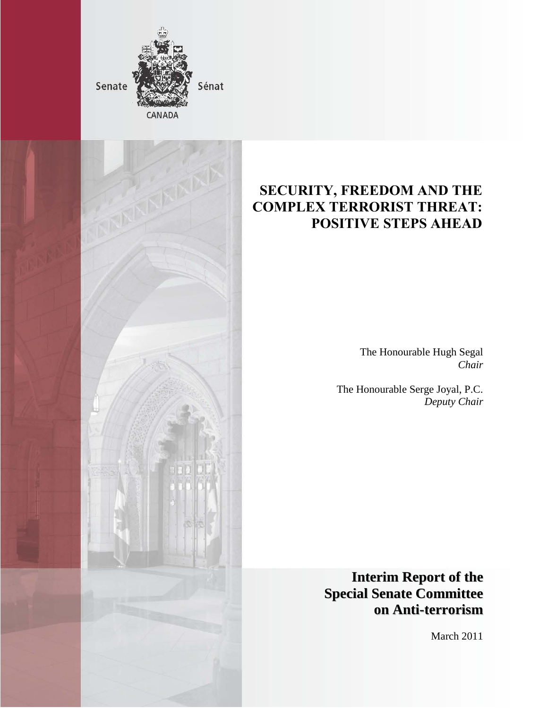



## **SECURITY, FREEDOM AND THE COMPLEX TERRORIST THREAT: POSITIVE STEPS AHEAD**

The Honourable Hugh Segal *Chair* 

The Honourable Serge Joyal, P.C. *Deputy Chair*

**Interim Report of the Special Senate Committee on Anti-terrorism**

March 2011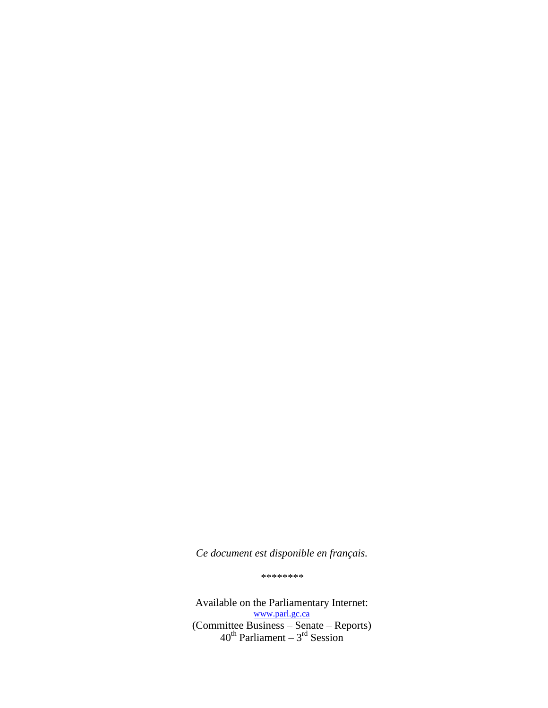*Ce document est disponible en français.*

*\*\*\*\*\*\*\*\**

Available on the Parliamentary Internet: [www.parl.gc.ca](http://www.parl.gc.ca/) (Committee Business – Senate – Reports)  $40^{\text{th}}$  Parliament –  $3^{\text{rd}}$  Session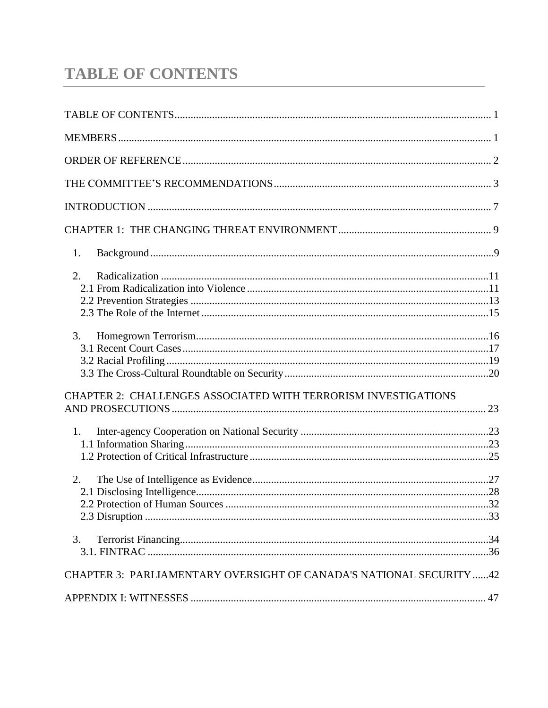# <span id="page-2-0"></span>**TABLE OF CONTENTS**

| 1.                                                                  |  |
|---------------------------------------------------------------------|--|
| 2.                                                                  |  |
|                                                                     |  |
|                                                                     |  |
| 3.                                                                  |  |
|                                                                     |  |
|                                                                     |  |
| CHAPTER 2: CHALLENGES ASSOCIATED WITH TERRORISM INVESTIGATIONS      |  |
|                                                                     |  |
| 1.                                                                  |  |
|                                                                     |  |
|                                                                     |  |
| 2.                                                                  |  |
|                                                                     |  |
|                                                                     |  |
|                                                                     |  |
| 3.                                                                  |  |
|                                                                     |  |
| CHAPTER 3: PARLIAMENTARY OVERSIGHT OF CANADA'S NATIONAL SECURITY 42 |  |
|                                                                     |  |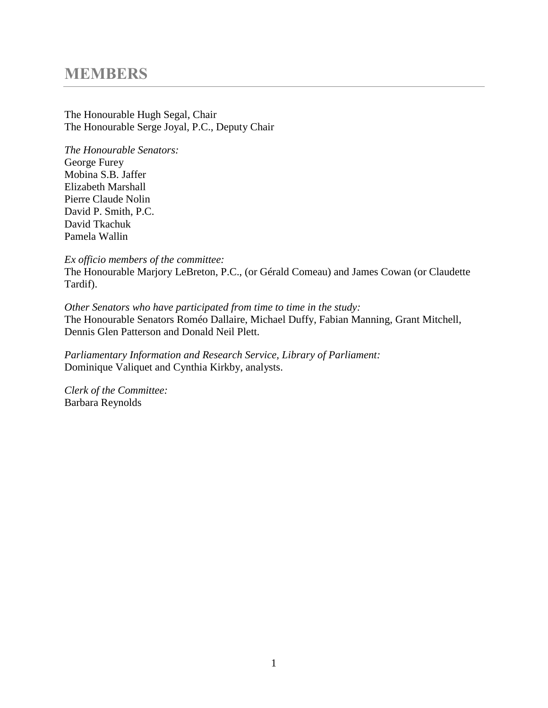## **MEMBERS**

The Honourable Hugh Segal, Chair The Honourable Serge Joyal, P.C., Deputy Chair

*The Honourable Senators:* George Furey Mobina S.B. Jaffer Elizabeth Marshall Pierre Claude Nolin David P. Smith, P.C. David Tkachuk Pamela Wallin

*Ex officio members of the committee:*

The Honourable Marjory LeBreton, P.C., (or Gérald Comeau) and James Cowan (or Claudette Tardif).

*Other Senators who have participated from time to time in the study:* The Honourable Senators Roméo Dallaire, Michael Duffy, Fabian Manning, Grant Mitchell, Dennis Glen Patterson and Donald Neil Plett.

*Parliamentary Information and Research Service, Library of Parliament:* Dominique Valiquet and Cynthia Kirkby, analysts.

*Clerk of the Committee:* Barbara Reynolds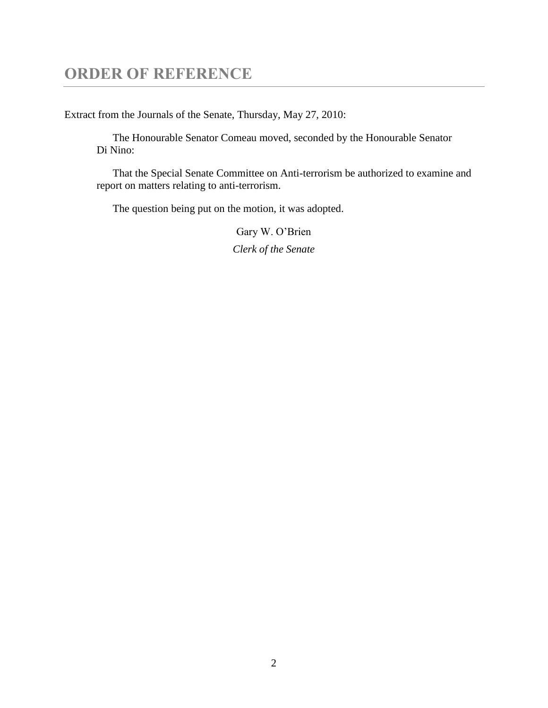## <span id="page-4-0"></span>**ORDER OF REFERENCE**

Extract from the Journals of the Senate, Thursday, May 27, 2010:

The Honourable Senator Comeau moved, seconded by the Honourable Senator Di Nino:

That the Special Senate Committee on Anti-terrorism be authorized to examine and report on matters relating to anti-terrorism.

The question being put on the motion, it was adopted.

Gary W. O'Brien *Clerk of the Senate*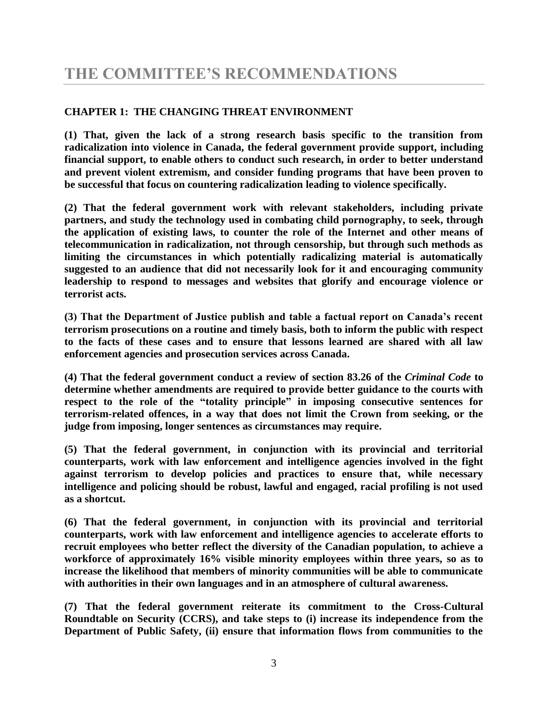## <span id="page-5-0"></span>**CHAPTER 1: THE CHANGING THREAT ENVIRONMENT**

**(1) That, given the lack of a strong research basis specific to the transition from radicalization into violence in Canada, the federal government provide support, including financial support, to enable others to conduct such research, in order to better understand and prevent violent extremism, and consider funding programs that have been proven to be successful that focus on countering radicalization leading to violence specifically.**

**(2) That the federal government work with relevant stakeholders, including private partners, and study the technology used in combating child pornography, to seek, through the application of existing laws, to counter the role of the Internet and other means of telecommunication in radicalization, not through censorship, but through such methods as limiting the circumstances in which potentially radicalizing material is automatically suggested to an audience that did not necessarily look for it and encouraging community leadership to respond to messages and websites that glorify and encourage violence or terrorist acts.**

**(3) That the Department of Justice publish and table a factual report on Canada's recent terrorism prosecutions on a routine and timely basis, both to inform the public with respect to the facts of these cases and to ensure that lessons learned are shared with all law enforcement agencies and prosecution services across Canada.**

**(4) That the federal government conduct a review of section 83.26 of the** *Criminal Code* **to determine whether amendments are required to provide better guidance to the courts with respect to the role of the "totality principle" in imposing consecutive sentences for terrorism-related offences, in a way that does not limit the Crown from seeking, or the judge from imposing, longer sentences as circumstances may require.** 

**(5) That the federal government, in conjunction with its provincial and territorial counterparts, work with law enforcement and intelligence agencies involved in the fight against terrorism to develop policies and practices to ensure that, while necessary intelligence and policing should be robust, lawful and engaged, racial profiling is not used as a shortcut.**

**(6) That the federal government, in conjunction with its provincial and territorial counterparts, work with law enforcement and intelligence agencies to accelerate efforts to recruit employees who better reflect the diversity of the Canadian population, to achieve a workforce of approximately 16% visible minority employees within three years, so as to increase the likelihood that members of minority communities will be able to communicate with authorities in their own languages and in an atmosphere of cultural awareness.**

**(7) That the federal government reiterate its commitment to the Cross-Cultural Roundtable on Security (CCRS), and take steps to (i) increase its independence from the Department of Public Safety, (ii) ensure that information flows from communities to the**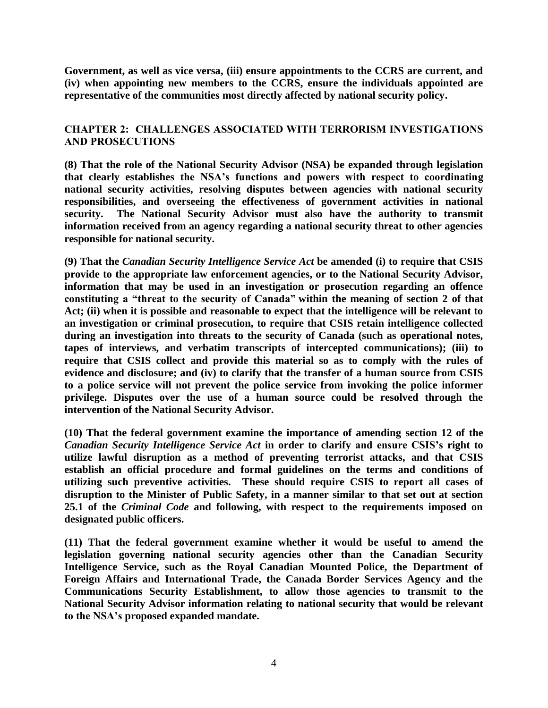**Government, as well as vice versa, (iii) ensure appointments to the CCRS are current, and (iv) when appointing new members to the CCRS, ensure the individuals appointed are representative of the communities most directly affected by national security policy.**

## **CHAPTER 2: CHALLENGES ASSOCIATED WITH TERRORISM INVESTIGATIONS AND PROSECUTIONS**

**(8) That the role of the National Security Advisor (NSA) be expanded through legislation that clearly establishes the NSA's functions and powers with respect to coordinating national security activities, resolving disputes between agencies with national security responsibilities, and overseeing the effectiveness of government activities in national security. The National Security Advisor must also have the authority to transmit information received from an agency regarding a national security threat to other agencies responsible for national security.** 

**(9) That the** *Canadian Security Intelligence Service Act* **be amended (i) to require that CSIS provide to the appropriate law enforcement agencies, or to the National Security Advisor, information that may be used in an investigation or prosecution regarding an offence constituting a "threat to the security of Canada" within the meaning of section 2 of that Act; (ii) when it is possible and reasonable to expect that the intelligence will be relevant to an investigation or criminal prosecution, to require that CSIS retain intelligence collected during an investigation into threats to the security of Canada (such as operational notes, tapes of interviews, and verbatim transcripts of intercepted communications); (iii) to require that CSIS collect and provide this material so as to comply with the rules of evidence and disclosure; and (iv) to clarify that the transfer of a human source from CSIS to a police service will not prevent the police service from invoking the police informer privilege. Disputes over the use of a human source could be resolved through the intervention of the National Security Advisor.** 

**(10) That the federal government examine the importance of amending section 12 of the**  *Canadian Security Intelligence Service Act* **in order to clarify and ensure CSIS's right to utilize lawful disruption as a method of preventing terrorist attacks, and that CSIS establish an official procedure and formal guidelines on the terms and conditions of utilizing such preventive activities. These should require CSIS to report all cases of disruption to the Minister of Public Safety, in a manner similar to that set out at section 25.1 of the** *Criminal Code* **and following, with respect to the requirements imposed on designated public officers.**

**(11) That the federal government examine whether it would be useful to amend the legislation governing national security agencies other than the Canadian Security Intelligence Service, such as the Royal Canadian Mounted Police, the Department of Foreign Affairs and International Trade, the Canada Border Services Agency and the Communications Security Establishment, to allow those agencies to transmit to the National Security Advisor information relating to national security that would be relevant to the NSA's proposed expanded mandate.**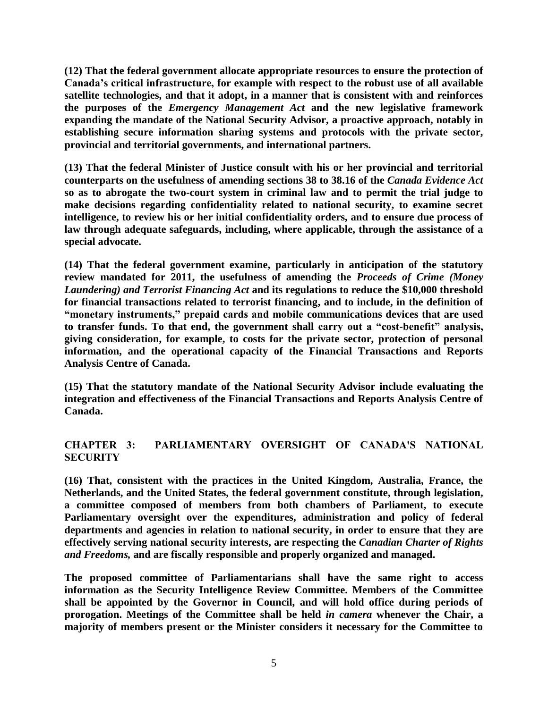**(12) That the federal government allocate appropriate resources to ensure the protection of Canada's critical infrastructure, for example with respect to the robust use of all available satellite technologies, and that it adopt, in a manner that is consistent with and reinforces the purposes of the** *Emergency Management Act* **and the new legislative framework expanding the mandate of the National Security Advisor, a proactive approach, notably in establishing secure information sharing systems and protocols with the private sector, provincial and territorial governments, and international partners.**

**(13) That the federal Minister of Justice consult with his or her provincial and territorial counterparts on the usefulness of amending sections 38 to 38.16 of the** *Canada Evidence Act*  **so as to abrogate the two-court system in criminal law and to permit the trial judge to make decisions regarding confidentiality related to national security, to examine secret intelligence, to review his or her initial confidentiality orders, and to ensure due process of law through adequate safeguards, including, where applicable, through the assistance of a special advocate.** 

**(14) That the federal government examine, particularly in anticipation of the statutory review mandated for 2011, the usefulness of amending the** *Proceeds of Crime (Money Laundering) and Terrorist Financing Act* **and its regulations to reduce the \$10,000 threshold for financial transactions related to terrorist financing, and to include, in the definition of "monetary instruments," prepaid cards and mobile communications devices that are used to transfer funds. To that end, the government shall carry out a "cost-benefit" analysis, giving consideration, for example, to costs for the private sector, protection of personal information, and the operational capacity of the Financial Transactions and Reports Analysis Centre of Canada.** 

**(15) That the statutory mandate of the National Security Advisor include evaluating the integration and effectiveness of the Financial Transactions and Reports Analysis Centre of Canada.**

## **CHAPTER 3: PARLIAMENTARY OVERSIGHT OF CANADA'S NATIONAL SECURITY**

**(16) That, consistent with the practices in the United Kingdom, Australia, France, the Netherlands, and the United States, the federal government constitute, through legislation, a committee composed of members from both chambers of Parliament, to execute Parliamentary oversight over the expenditures, administration and policy of federal departments and agencies in relation to national security, in order to ensure that they are effectively serving national security interests, are respecting the** *Canadian Charter of Rights and Freedoms,* **and are fiscally responsible and properly organized and managed.** 

**The proposed committee of Parliamentarians shall have the same right to access information as the Security Intelligence Review Committee. Members of the Committee shall be appointed by the Governor in Council, and will hold office during periods of prorogation. Meetings of the Committee shall be held** *in camera* **whenever the Chair, a majority of members present or the Minister considers it necessary for the Committee to**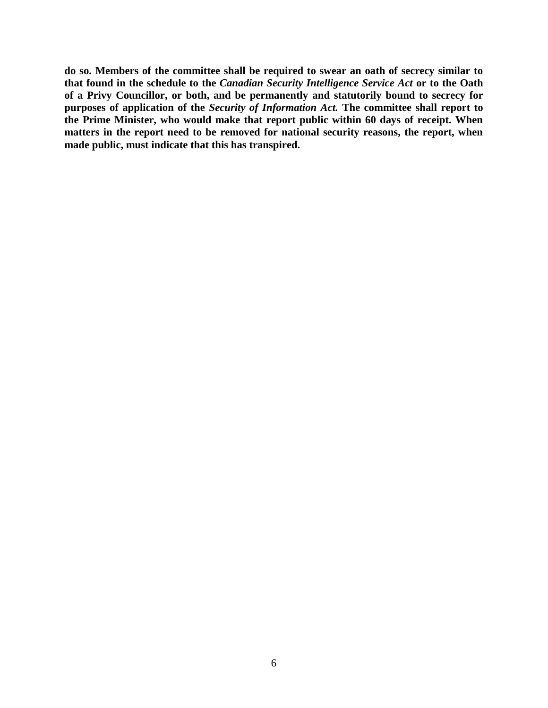**do so. Members of the committee shall be required to swear an oath of secrecy similar to that found in the schedule to the** *Canadian Security Intelligence Service Act* **or to the Oath of a Privy Councillor, or both, and be permanently and statutorily bound to secrecy for purposes of application of the** *Security of Information Act.* **The committee shall report to the Prime Minister, who would make that report public within 60 days of receipt. When matters in the report need to be removed for national security reasons, the report, when made public, must indicate that this has transpired.**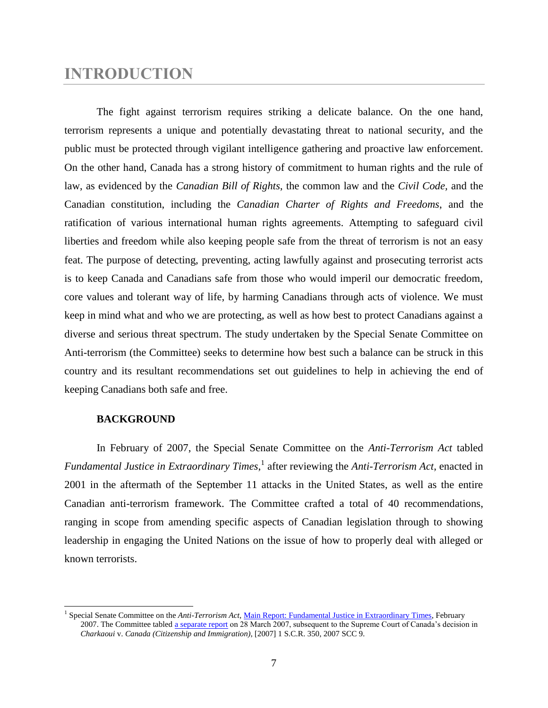## <span id="page-9-0"></span>**INTRODUCTION**

The fight against terrorism requires striking a delicate balance. On the one hand, terrorism represents a unique and potentially devastating threat to national security, and the public must be protected through vigilant intelligence gathering and proactive law enforcement. On the other hand, Canada has a strong history of commitment to human rights and the rule of law, as evidenced by the *Canadian Bill of Rights*, the common law and the *Civil Code,* and the Canadian constitution, including the *Canadian Charter of Rights and Freedoms*, and the ratification of various international human rights agreements. Attempting to safeguard civil liberties and freedom while also keeping people safe from the threat of terrorism is not an easy feat. The purpose of detecting, preventing, acting lawfully against and prosecuting terrorist acts is to keep Canada and Canadians safe from those who would imperil our democratic freedom, core values and tolerant way of life, by harming Canadians through acts of violence. We must keep in mind what and who we are protecting, as well as how best to protect Canadians against a diverse and serious threat spectrum. The study undertaken by the Special Senate Committee on Anti-terrorism (the Committee) seeks to determine how best such a balance can be struck in this country and its resultant recommendations set out guidelines to help in achieving the end of keeping Canadians both safe and free.

## **BACKGROUND**

 $\overline{a}$ 

In February of 2007, the Special Senate Committee on the *Anti-Terrorism Act* tabled Fundamental Justice in *Extraordinary Times*,<sup>1</sup> after reviewing the *Anti-Terrorism Act*, enacted in 2001 in the aftermath of the September 11 attacks in the United States, as well as the entire Canadian anti-terrorism framework. The Committee crafted a total of 40 recommendations, ranging in scope from amending specific aspects of Canadian legislation through to showing leadership in engaging the United Nations on the issue of how to properly deal with alleged or known terrorists.

<sup>&</sup>lt;sup>1</sup> Special Senate Committee on the *Anti-Terrorism Act*[, Main Report: Fundamental Justice in Extraordinary Times,](http://parl.gc.ca/39/1/parlbus/commbus/senate/com-e/anti-e/rep-e/rep02feb07-e.htm) February 2007. The Committee tabled [a separate report](http://parl.gc.ca/39/1/parlbus/commbus/senate/com-e/anti-e/rep-e/rep04mar07-e.htm) on 28 March 2007, subsequent to the Supreme Court of Canada's decision in *Charkaoui* v. *Canada (Citizenship and Immigration)*, [2007] 1 S.C.R. 350, 2007 SCC 9.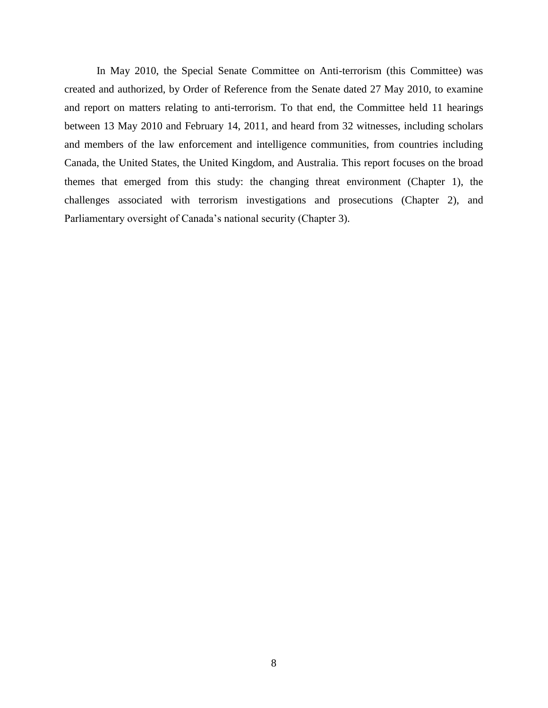In May 2010, the Special Senate Committee on Anti-terrorism (this Committee) was created and authorized, by Order of Reference from the Senate dated 27 May 2010, to examine and report on matters relating to anti-terrorism. To that end, the Committee held 11 hearings between 13 May 2010 and February 14, 2011, and heard from 32 witnesses, including scholars and members of the law enforcement and intelligence communities, from countries including Canada, the United States, the United Kingdom, and Australia. This report focuses on the broad themes that emerged from this study: the changing threat environment (Chapter 1), the challenges associated with terrorism investigations and prosecutions (Chapter 2), and Parliamentary oversight of Canada's national security (Chapter 3).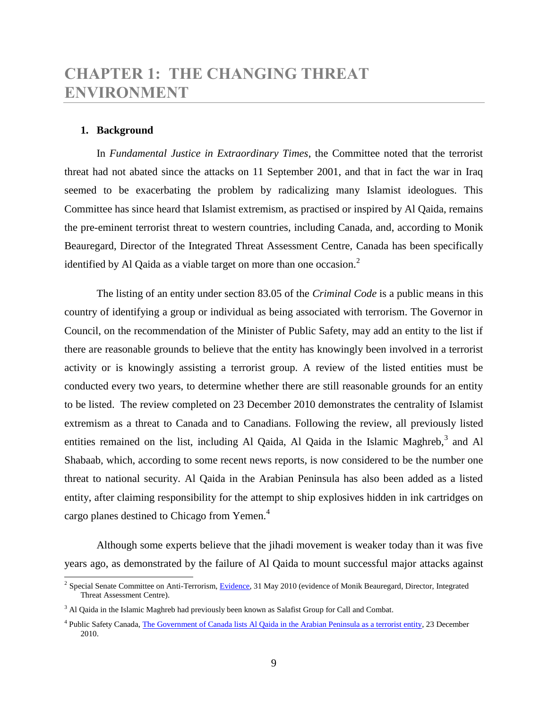## <span id="page-11-0"></span>**CHAPTER 1: THE CHANGING THREAT ENVIRONMENT**

### <span id="page-11-1"></span>**1. Background**

In *Fundamental Justice in Extraordinary Times*, the Committee noted that the terrorist threat had not abated since the attacks on 11 September 2001, and that in fact the war in Iraq seemed to be exacerbating the problem by radicalizing many Islamist ideologues. This Committee has since heard that Islamist extremism, as practised or inspired by Al Qaida, remains the pre-eminent terrorist threat to western countries, including Canada, and, according to Monik Beauregard, Director of the Integrated Threat Assessment Centre, Canada has been specifically identified by Al Qaida as a viable target on more than one occasion. $<sup>2</sup>$ </sup>

The listing of an entity under section 83.05 of the *Criminal Code* is a public means in this country of identifying a group or individual as being associated with terrorism. The Governor in Council, on the recommendation of the Minister of Public Safety, may add an entity to the list if there are reasonable grounds to believe that the entity has knowingly been involved in a terrorist activity or is knowingly assisting a terrorist group. A review of the listed entities must be conducted every two years, to determine whether there are still reasonable grounds for an entity to be listed. The review completed on 23 December 2010 demonstrates the centrality of Islamist extremism as a threat to Canada and to Canadians. Following the review, all previously listed entities remained on the list, including Al Qaida, Al Qaida in the Islamic Maghreb,<sup>3</sup> and Al Shabaab, which, according to some recent news reports, is now considered to be the number one threat to national security. Al Qaida in the Arabian Peninsula has also been added as a listed entity, after claiming responsibility for the attempt to ship explosives hidden in ink cartridges on cargo planes destined to Chicago from Yemen.<sup>4</sup>

Although some experts believe that the jihadi movement is weaker today than it was five years ago, as demonstrated by the failure of Al Qaida to mount successful major attacks against

<sup>&</sup>lt;sup>2</sup> Special Senate Committee on Anti-Terrorism[, Evidence,](http://parl.gc.ca/40/3/parlbus/commbus/senate/com-e/anti-e/pdf/01issue.pdf) 31 May 2010 (evidence of Monik Beauregard, Director, Integrated Threat Assessment Centre).

<sup>&</sup>lt;sup>3</sup> Al Qaida in the Islamic Maghreb had previously been known as Salafist Group for Call and Combat.

<sup>&</sup>lt;sup>4</sup> Public Safety Canada, The Government of [Canada lists Al Qaida in the Arabian Peninsula as a terrorist entity,](http://www.publicsafety.gc.ca/media/nr/2010/nr20101223-eng.aspx) 23 December 2010.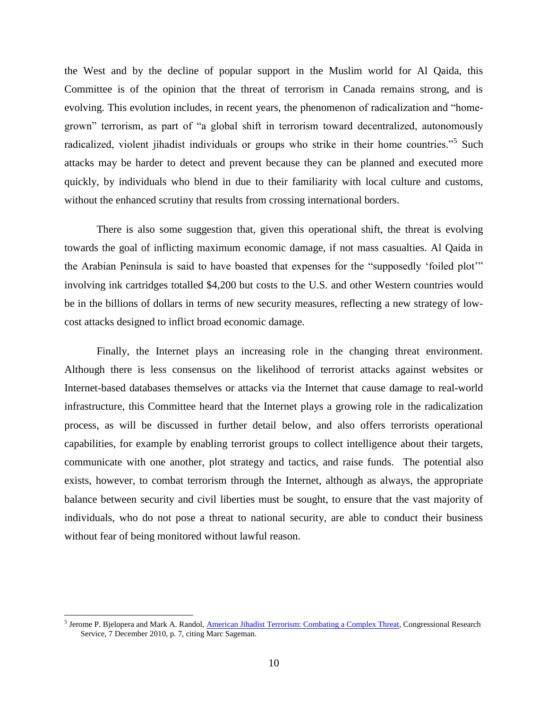the West and by the decline of popular support in the Muslim world for Al Qaida, this Committee is of the opinion that the threat of terrorism in Canada remains strong, and is evolving. This evolution includes, in recent years, the phenomenon of radicalization and "homegrown" terrorism, as part of "a global shift in terrorism toward decentralized, autonomously radicalized, violent jihadist individuals or groups who strike in their home countries."<sup>5</sup> Such attacks may be harder to detect and prevent because they can be planned and executed more quickly, by individuals who blend in due to their familiarity with local culture and customs, without the enhanced scrutiny that results from crossing international borders.

There is also some suggestion that, given this operational shift, the threat is evolving towards the goal of inflicting maximum economic damage, if not mass casualties. Al Qaida in the Arabian Peninsula is said to have boasted that expenses for the "supposedly 'foiled plot'" involving ink cartridges totalled \$4,200 but costs to the U.S. and other Western countries would be in the billions of dollars in terms of new security measures, reflecting a new strategy of lowcost attacks designed to inflict broad economic damage.

Finally, the Internet plays an increasing role in the changing threat environment. Although there is less consensus on the likelihood of terrorist attacks against websites or Internet-based databases themselves or attacks via the Internet that cause damage to real-world infrastructure, this Committee heard that the Internet plays a growing role in the radicalization process, as will be discussed in further detail below, and also offers terrorists operational capabilities, for example by enabling terrorist groups to collect intelligence about their targets, communicate with one another, plot strategy and tactics, and raise funds. The potential also exists, however, to combat terrorism through the Internet, although as always, the appropriate balance between security and civil liberties must be sought, to ensure that the vast majority of individuals, who do not pose a threat to national security, are able to conduct their business without fear of being monitored without lawful reason.

<sup>&</sup>lt;sup>5</sup> Jerome P. Bjelopera and Mark A. Randol, *American Jihadist Terrorism: Combating a Complex Threat, Congressional Research* Service, 7 December 2010, p. 7, citing Marc Sageman.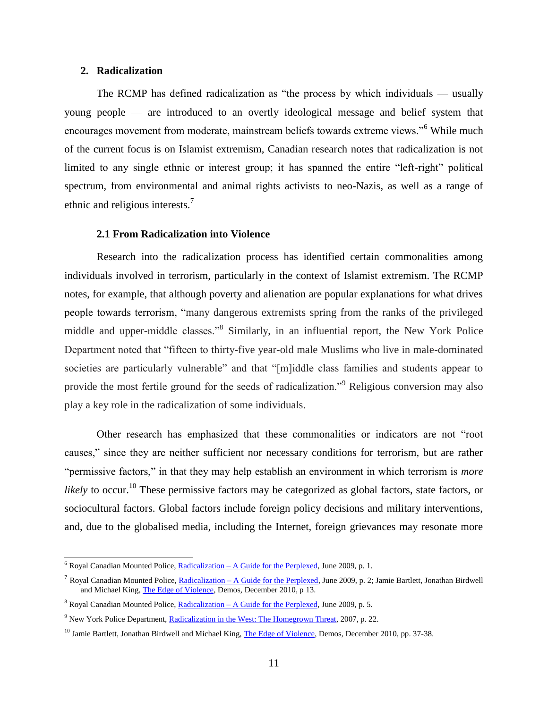### <span id="page-13-0"></span>**2. Radicalization**

 $\overline{a}$ 

The RCMP has defined radicalization as "the process by which individuals — usually young people — are introduced to an overtly ideological message and belief system that encourages movement from moderate, mainstream beliefs towards extreme views."<sup>6</sup> While much of the current focus is on Islamist extremism, Canadian research notes that radicalization is not limited to any single ethnic or interest group; it has spanned the entire "left-right" political spectrum, from environmental and animal rights activists to neo-Nazis, as well as a range of ethnic and religious interests.<sup>7</sup>

#### **2.1 From Radicalization into Violence**

<span id="page-13-1"></span>Research into the radicalization process has identified certain commonalities among individuals involved in terrorism, particularly in the context of Islamist extremism. The RCMP notes, for example, that although poverty and alienation are popular explanations for what drives people towards terrorism, "many dangerous extremists spring from the ranks of the privileged middle and upper-middle classes."<sup>8</sup> Similarly, in an influential report, the New York Police Department noted that "fifteen to thirty-five year-old male Muslims who live in male-dominated societies are particularly vulnerable" and that "[m]iddle class families and students appear to provide the most fertile ground for the seeds of radicalization."<sup>9</sup> Religious conversion may also play a key role in the radicalization of some individuals.

Other research has emphasized that these commonalities or indicators are not "root" causes," since they are neither sufficient nor necessary conditions for terrorism, but are rather "permissive factors," in that they may help establish an environment in which terrorism is *more likely* to occur.<sup>10</sup> These permissive factors may be categorized as global factors, state factors, or sociocultural factors. Global factors include foreign policy decisions and military interventions, and, due to the globalised media, including the Internet, foreign grievances may resonate more

 $6$  Royal Canadian Mounted Police, **Radicalization** – [A Guide for the Perplexed,](http://www.rcmp-grc.gc.ca/pubs/nsci-ecrsn/radical-eng.pdf) June 2009, p. 1.

<sup>&</sup>lt;sup>7</sup> Royal Canadian Mounted Police, *Radicalization – A Guide for the Perplexed*, June 2009, p. 2; Jamie Bartlett, Jonathan Birdwell and Michael King[, The Edge of Violence,](http://www.demos.co.uk/files/Edge_of_Violence_-_full_-_web.pdf?1291806916) Demos, December 2010, p 13.

<sup>&</sup>lt;sup>8</sup> Royal Canadian Mounted Police, *Radicalization – A Guide for the Perplexed*, June 2009, p. 5.

<sup>&</sup>lt;sup>9</sup> New York Police Department, [Radicalization in the West: The Homegrown Threat,](http://www.nypdshield.org/public/SiteFiles/documents/NYPD_Report-Radicalization_in_the_West.pdf) 2007, p. 22.

<sup>&</sup>lt;sup>10</sup> Jamie Bartlett, Jonathan Birdwell and Michael King[, The Edge of Violence,](http://www.demos.co.uk/files/Edge_of_Violence_-_full_-_web.pdf?1291806916) Demos, December 2010, pp. 37-38.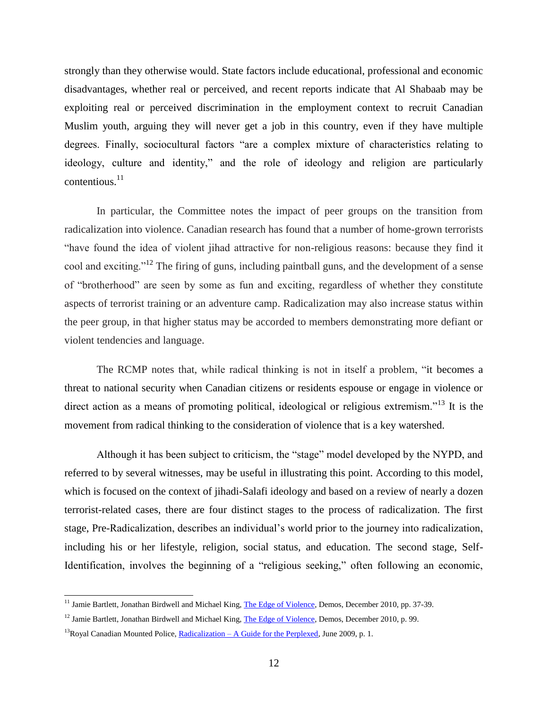strongly than they otherwise would. State factors include educational, professional and economic disadvantages, whether real or perceived, and recent reports indicate that Al Shabaab may be exploiting real or perceived discrimination in the employment context to recruit Canadian Muslim youth, arguing they will never get a job in this country, even if they have multiple degrees. Finally, sociocultural factors "are a complex mixture of characteristics relating to ideology, culture and identity," and the role of ideology and religion are particularly contentious.<sup>11</sup>

In particular, the Committee notes the impact of peer groups on the transition from radicalization into violence. Canadian research has found that a number of home-grown terrorists ―have found the idea of violent jihad attractive for non-religious reasons: because they find it cool and exciting.<sup>12</sup> The firing of guns, including paintball guns, and the development of a sense of "brotherhood" are seen by some as fun and exciting, regardless of whether they constitute aspects of terrorist training or an adventure camp. Radicalization may also increase status within the peer group, in that higher status may be accorded to members demonstrating more defiant or violent tendencies and language.

The RCMP notes that, while radical thinking is not in itself a problem, "it becomes a threat to national security when Canadian citizens or residents espouse or engage in violence or direct action as a means of promoting political, ideological or religious extremism."<sup>13</sup> It is the movement from radical thinking to the consideration of violence that is a key watershed.

Although it has been subject to criticism, the "stage" model developed by the NYPD, and referred to by several witnesses, may be useful in illustrating this point. According to this model, which is focused on the context of jihadi-Salafi ideology and based on a review of nearly a dozen terrorist-related cases, there are four distinct stages to the process of radicalization. The first stage, Pre-Radicalization, describes an individual's world prior to the journey into radicalization, including his or her lifestyle, religion, social status, and education. The second stage, Self-Identification, involves the beginning of a "religious seeking," often following an economic,

<sup>&</sup>lt;sup>11</sup> Jamie Bartlett, Jonathan Birdwell and Michael King[, The Edge of Violence,](http://www.demos.co.uk/files/Edge_of_Violence_-_full_-_web.pdf?1291806916) Demos, December 2010, pp. 37-39.

<sup>&</sup>lt;sup>12</sup> Jamie Bartlett, Jonathan Birdwell and Michael King[, The Edge of Violence,](http://www.demos.co.uk/files/Edge_of_Violence_-_full_-_web.pdf?1291806916) Demos, December 2010, p. 99.

<sup>&</sup>lt;sup>13</sup>Royal Canadian Mounted Police, Radicalization – [A Guide for the Perplexed,](http://www.rcmp-grc.gc.ca/pubs/nsci-ecrsn/radical-eng.pdf) June 2009, p. 1.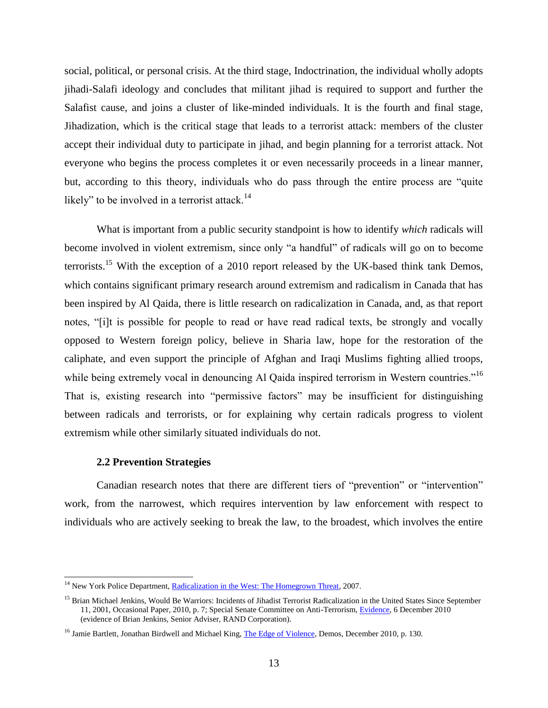social, political, or personal crisis. At the third stage, Indoctrination, the individual wholly adopts jihadi-Salafi ideology and concludes that militant jihad is required to support and further the Salafist cause, and joins a cluster of like-minded individuals. It is the fourth and final stage, Jihadization, which is the critical stage that leads to a terrorist attack: members of the cluster accept their individual duty to participate in jihad, and begin planning for a terrorist attack. Not everyone who begins the process completes it or even necessarily proceeds in a linear manner, but, according to this theory, individuals who do pass through the entire process are "quite likely" to be involved in a terrorist attack. $14$ 

What is important from a public security standpoint is how to identify *which* radicals will become involved in violent extremism, since only "a handful" of radicals will go on to become terrorists.<sup>15</sup> With the exception of a 2010 report released by the UK-based think tank Demos, which contains significant primary research around extremism and radicalism in Canada that has been inspired by Al Qaida, there is little research on radicalization in Canada, and, as that report notes, "[i]t is possible for people to read or have read radical texts, be strongly and vocally opposed to Western foreign policy, believe in Sharia law, hope for the restoration of the caliphate, and even support the principle of Afghan and Iraqi Muslims fighting allied troops, while being extremely vocal in denouncing Al Qaida inspired terrorism in Western countries."<sup>16</sup> That is, existing research into "permissive factors" may be insufficient for distinguishing between radicals and terrorists, or for explaining why certain radicals progress to violent extremism while other similarly situated individuals do not.

### **2.2 Prevention Strategies**

 $\overline{a}$ 

<span id="page-15-0"></span>Canadian research notes that there are different tiers of "prevention" or "intervention" work, from the narrowest, which requires intervention by law enforcement with respect to individuals who are actively seeking to break the law, to the broadest, which involves the entire

<sup>&</sup>lt;sup>14</sup> New York Police Department, [Radicalization in the West: The Homegrown Threat,](http://www.nypdshield.org/public/SiteFiles/documents/NYPD_Report-Radicalization_in_the_West.pdf) 2007.

<sup>&</sup>lt;sup>15</sup> Brian Michael Jenkins, Would Be Warriors: Incidents of Jihadist Terrorist Radicalization in the United States Since September 11, 2001, Occasional Paper, 2010, p. 7; Special Senate Committee on Anti-Terrorism, [Evidence,](http://parl.gc.ca/40/3/parlbus/commbus/senate/Com-e/anti-e/pdf/10issue.pdf) 6 December 2010 (evidence of Brian Jenkins, Senior Adviser, RAND Corporation).

<sup>&</sup>lt;sup>16</sup> Jamie Bartlett, Jonathan Birdwell and Michael King[, The Edge of Violence,](http://www.demos.co.uk/files/Edge_of_Violence_-_full_-_web.pdf?1291806916) Demos, December 2010, p. 130.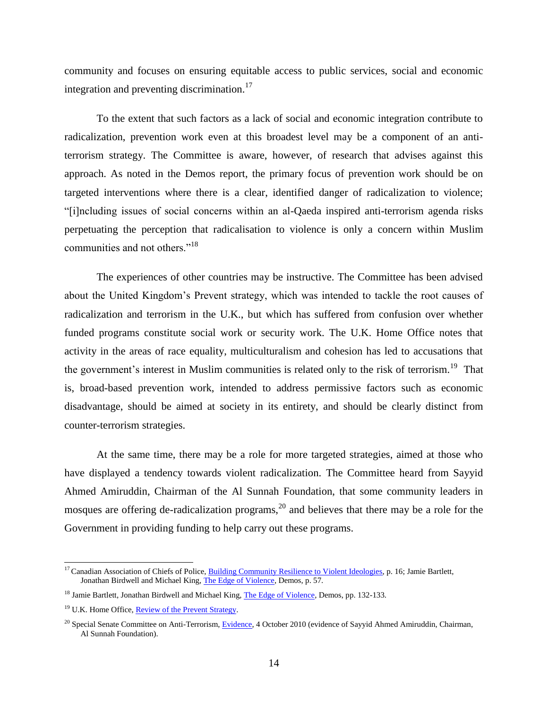community and focuses on ensuring equitable access to public services, social and economic integration and preventing discrimination.<sup>17</sup>

To the extent that such factors as a lack of social and economic integration contribute to radicalization, prevention work even at this broadest level may be a component of an antiterrorism strategy. The Committee is aware, however, of research that advises against this approach. As noted in the Demos report, the primary focus of prevention work should be on targeted interventions where there is a clear, identified danger of radicalization to violence; ―[i]ncluding issues of social concerns within an al-Qaeda inspired anti-terrorism agenda risks perpetuating the perception that radicalisation to violence is only a concern within Muslim communities and not others."<sup>18</sup>

The experiences of other countries may be instructive. The Committee has been advised about the United Kingdom's Prevent strategy, which was intended to tackle the root causes of radicalization and terrorism in the U.K., but which has suffered from confusion over whether funded programs constitute social work or security work. The U.K. Home Office notes that activity in the areas of race equality, multiculturalism and cohesion has led to accusations that the government's interest in Muslim communities is related only to the risk of terrorism.<sup>19</sup> That is, broad-based prevention work, intended to address permissive factors such as economic disadvantage, should be aimed at society in its entirety, and should be clearly distinct from counter-terrorism strategies.

At the same time, there may be a role for more targeted strategies, aimed at those who have displayed a tendency towards violent radicalization. The Committee heard from Sayyid Ahmed Amiruddin, Chairman of the Al Sunnah Foundation, that some community leaders in mosques are offering de-radicalization programs,<sup>20</sup> and believes that there may be a role for the Government in providing funding to help carry out these programs.

<sup>&</sup>lt;sup>17</sup> Canadian Association of Chiefs of Police[, Building Community Resilience to Violent Ideologies,](https://www.cacp.ca/media/committees/efiles/16/422/RadicalizationEng.pdf) p. 16; Jamie Bartlett, Jonathan Birdwell and Michael King[, The Edge of Violence,](http://www.demos.co.uk/files/Edge_of_Violence_-_full_-_web.pdf?1291806916) Demos, p. 57.

<sup>&</sup>lt;sup>18</sup> Jamie Bartlett, Jonathan Birdwell and Michael King, **The Edge of Violence**, Demos, pp. 132-133.

<sup>&</sup>lt;sup>19</sup> U.K. Home Office[, Review of the Prevent Strategy.](http://www.homeoffice.gov.uk/counter-terrorism/review-of-prevent-strategy/)

<sup>&</sup>lt;sup>20</sup> Special Senate Committee on Anti-Terrorism, [Evidence,](http://parl.gc.ca/40/3/parlbus/commbus/senate/Com-e/anti-e/pdf/07issue.pdf) 4 October 2010 (evidence of Sayyid Ahmed Amiruddin, Chairman, Al Sunnah Foundation).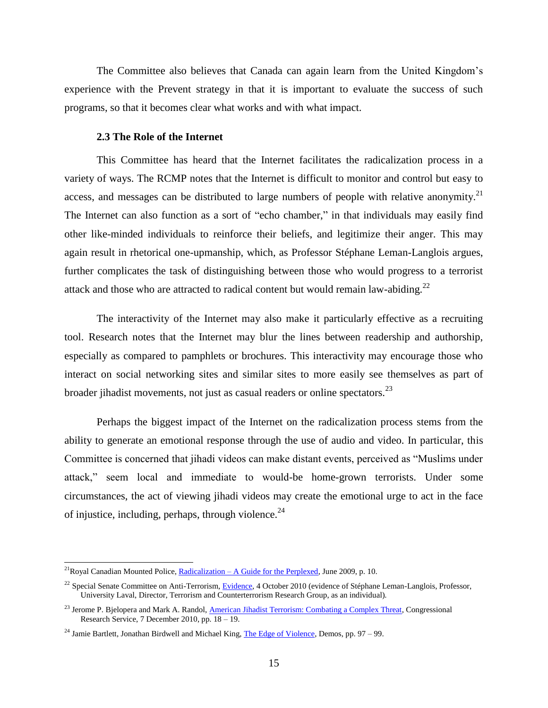The Committee also believes that Canada can again learn from the United Kingdom's experience with the Prevent strategy in that it is important to evaluate the success of such programs, so that it becomes clear what works and with what impact.

### **2.3 The Role of the Internet**

<span id="page-17-0"></span>This Committee has heard that the Internet facilitates the radicalization process in a variety of ways. The RCMP notes that the Internet is difficult to monitor and control but easy to access, and messages can be distributed to large numbers of people with relative anonymity.<sup>21</sup> The Internet can also function as a sort of "echo chamber," in that individuals may easily find other like-minded individuals to reinforce their beliefs, and legitimize their anger. This may again result in rhetorical one-upmanship, which, as Professor Stéphane Leman-Langlois argues, further complicates the task of distinguishing between those who would progress to a terrorist attack and those who are attracted to radical content but would remain law-abiding.<sup>22</sup>

The interactivity of the Internet may also make it particularly effective as a recruiting tool. Research notes that the Internet may blur the lines between readership and authorship, especially as compared to pamphlets or brochures. This interactivity may encourage those who interact on social networking sites and similar sites to more easily see themselves as part of broader jihadist movements, not just as casual readers or online spectators.<sup>23</sup>

Perhaps the biggest impact of the Internet on the radicalization process stems from the ability to generate an emotional response through the use of audio and video. In particular, this Committee is concerned that jihadi videos can make distant events, perceived as "Muslims under attack,‖ seem local and immediate to would-be home-grown terrorists. Under some circumstances, the act of viewing jihadi videos may create the emotional urge to act in the face of injustice, including, perhaps, through violence. $^{24}$ 

<sup>&</sup>lt;sup>21</sup>Royal Canadian Mounted Police, **Radicalization – A Guide for the Perplexed**, June 2009, p. 10.

<sup>&</sup>lt;sup>22</sup> Special Senate Committee on Anti-Terrorism[, Evidence,](http://parl.gc.ca/40/3/parlbus/commbus/senate/Com-e/anti-e/pdf/07issue.pdf) 4 October 2010 (evidence of Stéphane Leman-Langlois, Professor, University Laval, Director, Terrorism and Counterterrorism Research Group, as an individual).

<sup>&</sup>lt;sup>23</sup> Jerome P. Bjelopera and Mark A. Randol, *American Jihadist Terrorism: Combating a Complex Threat*, Congressional Research Service, 7 December 2010, pp. 18 – 19.

<sup>&</sup>lt;sup>24</sup> Jamie Bartlett, Jonathan Birdwell and Michael King, **The Edge of Violence**, Demos, pp. 97 – 99.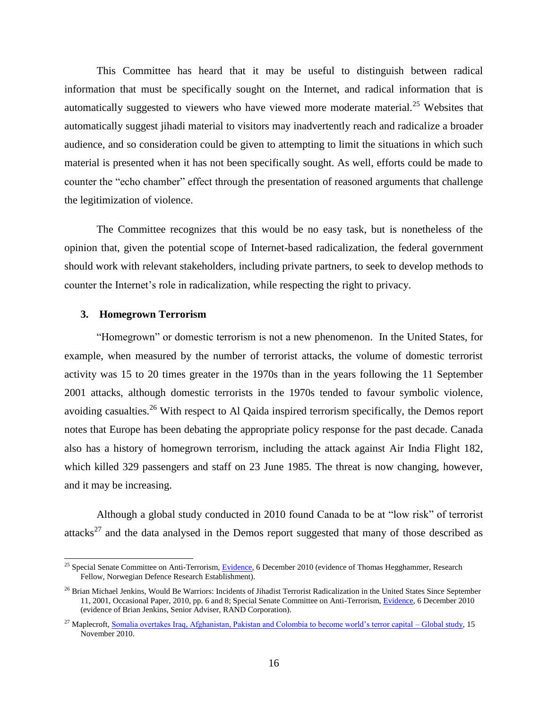This Committee has heard that it may be useful to distinguish between radical information that must be specifically sought on the Internet, and radical information that is automatically suggested to viewers who have viewed more moderate material.<sup>25</sup> Websites that automatically suggest jihadi material to visitors may inadvertently reach and radicalize a broader audience, and so consideration could be given to attempting to limit the situations in which such material is presented when it has not been specifically sought. As well, efforts could be made to counter the "echo chamber" effect through the presentation of reasoned arguments that challenge the legitimization of violence.

The Committee recognizes that this would be no easy task, but is nonetheless of the opinion that, given the potential scope of Internet-based radicalization, the federal government should work with relevant stakeholders, including private partners, to seek to develop methods to counter the Internet's role in radicalization, while respecting the right to privacy.

## <span id="page-18-0"></span>**3. Homegrown Terrorism**

 $\overline{a}$ 

―Homegrown‖ or domestic terrorism is not a new phenomenon. In the United States, for example, when measured by the number of terrorist attacks, the volume of domestic terrorist activity was 15 to 20 times greater in the 1970s than in the years following the 11 September 2001 attacks, although domestic terrorists in the 1970s tended to favour symbolic violence, avoiding casualties.<sup>26</sup> With respect to Al Qaida inspired terrorism specifically, the Demos report notes that Europe has been debating the appropriate policy response for the past decade. Canada also has a history of homegrown terrorism, including the attack against Air India Flight 182, which killed 329 passengers and staff on 23 June 1985. The threat is now changing, however, and it may be increasing.

Although a global study conducted in 2010 found Canada to be at "low risk" of terrorist attacks<sup>27</sup> and the data analysed in the Demos report suggested that many of those described as

<sup>&</sup>lt;sup>25</sup> Special Senate Committee on Anti-Terrorism, [Evidence,](http://parl.gc.ca/40/3/parlbus/commbus/senate/Com-e/anti-e/pdf/10issue.pdf) 6 December 2010 (evidence of Thomas Hegghammer, Research Fellow, Norwegian Defence Research Establishment).

<sup>&</sup>lt;sup>26</sup> Brian Michael Jenkins, Would Be Warriors: Incidents of Jihadist Terrorist Radicalization in the United States Since September 11, 2001, Occasional Paper, 2010, pp. 6 and 8; Special Senate Committee on Anti-Terrorism[, Evidence,](http://parl.gc.ca/40/3/parlbus/commbus/senate/Com-e/anti-e/pdf/10issue.pdf) 6 December 2010 (evidence of Brian Jenkins, Senior Adviser, RAND Corporation).

<sup>&</sup>lt;sup>27</sup> Maplecroft[, Somalia overtakes Iraq, Afghanistan, Pakistan and Colombia to become world's terror capital –](http://www.maplecroft.com/about/news/terrorism.html) Global study, 15 November 2010.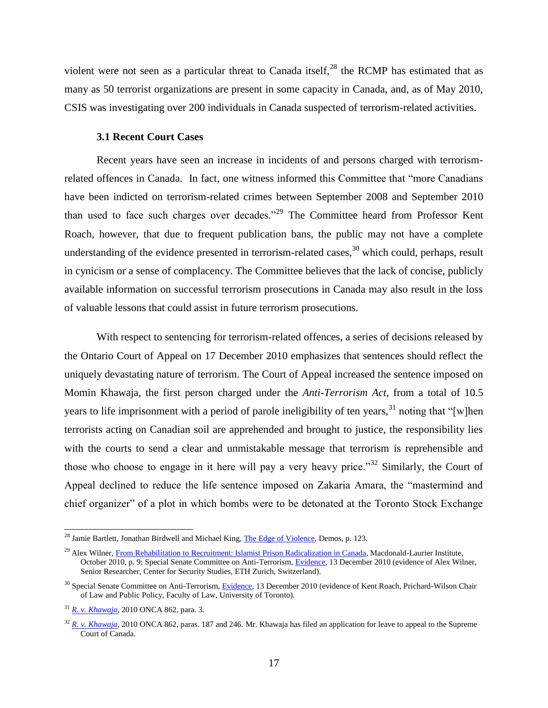violent were not seen as a particular threat to Canada itself,  $^{28}$  the RCMP has estimated that as many as 50 terrorist organizations are present in some capacity in Canada, and, as of May 2010, CSIS was investigating over 200 individuals in Canada suspected of terrorism-related activities.

### **3.1 Recent Court Cases**

<span id="page-19-0"></span>Recent years have seen an increase in incidents of and persons charged with terrorismrelated offences in Canada. In fact, one witness informed this Committee that "more Canadians" have been indicted on terrorism-related crimes between September 2008 and September 2010 than used to face such charges over decades."<sup>29</sup> The Committee heard from Professor Kent Roach, however, that due to frequent publication bans, the public may not have a complete understanding of the evidence presented in terrorism-related cases, $30$  which could, perhaps, result in cynicism or a sense of complacency. The Committee believes that the lack of concise, publicly available information on successful terrorism prosecutions in Canada may also result in the loss of valuable lessons that could assist in future terrorism prosecutions.

With respect to sentencing for terrorism-related offences, a series of decisions released by the Ontario Court of Appeal on 17 December 2010 emphasizes that sentences should reflect the uniquely devastating nature of terrorism. The Court of Appeal increased the sentence imposed on Momin Khawaja, the first person charged under the *Anti-Terrorism Act*, from a total of 10.5 years to life imprisonment with a period of parole ineligibility of ten years,<sup>31</sup> noting that "[w]hen terrorists acting on Canadian soil are apprehended and brought to justice, the responsibility lies with the courts to send a clear and unmistakable message that terrorism is reprehensible and those who choose to engage in it here will pay a very heavy price.<sup>32</sup> Similarly, the Court of Appeal declined to reduce the life sentence imposed on Zakaria Amara, the "mastermind and chief organizer" of a plot in which bombs were to be detonated at the Toronto Stock Exchange

<sup>&</sup>lt;sup>28</sup> Jamie Bartlett, Jonathan Birdwell and Michael King[, The Edge of Violence,](http://www.demos.co.uk/files/Edge_of_Violence_-_full_-_web.pdf?1291806916) Demos, p. 123.

<sup>&</sup>lt;sup>29</sup> Alex Wilner, [From Rehabilitation to Recruitment: Islamist Prison Radicalization in Canada,](http://www.macdonaldlaurier.ca/files/pdf/FromRehabilitationToRecruitment.pdf) Macdonald-Laurier Institute, October 2010, p. 9; Special Senate Committee on Anti-Terrorism, [Evidence,](http://parl.gc.ca/40/3/parlbus/commbus/senate/Com-e/anti-e/pdf/11issue.pdf) 13 December 2010 (evidence of Alex Wilner, Senior Researcher, Center for Security Studies, ETH Zurich, Switzerland).

<sup>&</sup>lt;sup>30</sup> Special Senate Committee on Anti-Terrorism, [Evidence,](http://parl.gc.ca/40/3/parlbus/commbus/senate/Com-e/anti-e/pdf/11issue.pdf) 13 December 2010 (evidence of Kent Roach, Prichard-Wilson Chair of Law and Public Policy, Faculty of Law, University of Toronto).

<sup>31</sup> *[R. v. Khawaja](http://www.ontariocourts.on.ca/decisions/2010/december/2010ONCA0862.pdf)*, 2010 ONCA 862, para. 3.

<sup>&</sup>lt;sup>32</sup> *[R. v. Khawaja](http://www.ontariocourts.on.ca/decisions/2010/december/2010ONCA0862.pdf)*, 2010 ONCA 862, paras. 187 and 246. Mr. Khawaja has filed an application for leave to appeal to the Supreme Court of Canada.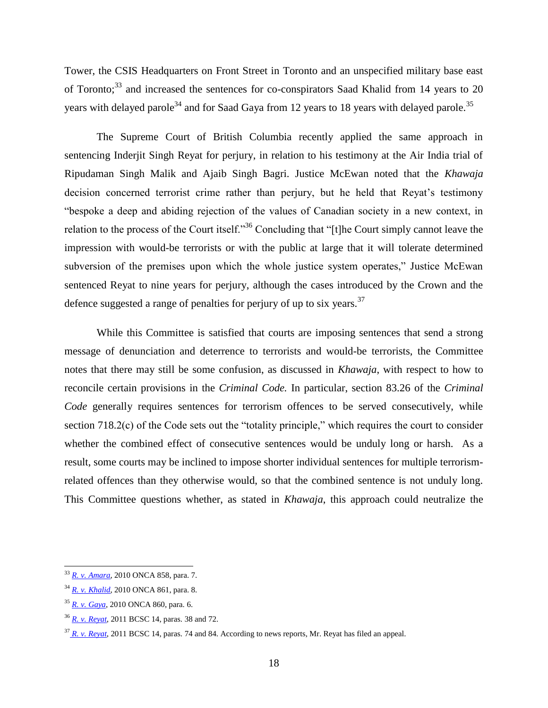Tower, the CSIS Headquarters on Front Street in Toronto and an unspecified military base east of Toronto;<sup>33</sup> and increased the sentences for co-conspirators Saad Khalid from 14 years to 20 years with delayed parole<sup>34</sup> and for Saad Gaya from 12 years to 18 years with delayed parole.<sup>35</sup>

The Supreme Court of British Columbia recently applied the same approach in sentencing Inderjit Singh Reyat for perjury, in relation to his testimony at the Air India trial of Ripudaman Singh Malik and Ajaib Singh Bagri. Justice McEwan noted that the *Khawaja*  decision concerned terrorist crime rather than perjury, but he held that Reyat's testimony ―bespoke a deep and abiding rejection of the values of Canadian society in a new context, in relation to the process of the Court itself.<sup>36</sup> Concluding that "[t]he Court simply cannot leave the impression with would-be terrorists or with the public at large that it will tolerate determined subversion of the premises upon which the whole justice system operates," Justice McEwan sentenced Reyat to nine years for perjury, although the cases introduced by the Crown and the defence suggested a range of penalties for perjury of up to six years.<sup>37</sup>

While this Committee is satisfied that courts are imposing sentences that send a strong message of denunciation and deterrence to terrorists and would-be terrorists, the Committee notes that there may still be some confusion, as discussed in *Khawaja*, with respect to how to reconcile certain provisions in the *Criminal Code.* In particular, section 83.26 of the *Criminal Code* generally requires sentences for terrorism offences to be served consecutively, while section  $718.2(c)$  of the Code sets out the "totality principle," which requires the court to consider whether the combined effect of consecutive sentences would be unduly long or harsh. As a result, some courts may be inclined to impose shorter individual sentences for multiple terrorismrelated offences than they otherwise would, so that the combined sentence is not unduly long. This Committee questions whether, as stated in *Khawaja*, this approach could neutralize the

<sup>33</sup> *R. v. [Amara](http://www.ontariocourts.on.ca/decisions/2010/december/2010ONCA0858.htm)*, 2010 ONCA 858, para. 7.

<sup>34</sup> *R. v. [Khalid](http://www.ontariocourts.on.ca/decisions/2010/december/2010ONCA0861.htm)*, 2010 ONCA 861, para. 8.

<sup>35</sup> *R. v. [Gaya](http://www.ontariocourts.on.ca/decisions/2010/december/2010ONCA0860.htm)*, 2010 ONCA 860, para. 6.

<sup>36</sup> *[R. v. Reyat](http://www.courts.gov.bc.ca/jdb-txt/SC/11/00/2011BCSC0014.htm)*, 2011 BCSC 14, paras. 38 and 72.

<sup>37</sup> *[R. v. Reyat](http://www.courts.gov.bc.ca/jdb-txt/SC/11/00/2011BCSC0014.htm)*, 2011 BCSC 14, paras. 74 and 84. According to news reports, Mr. Reyat has filed an appeal.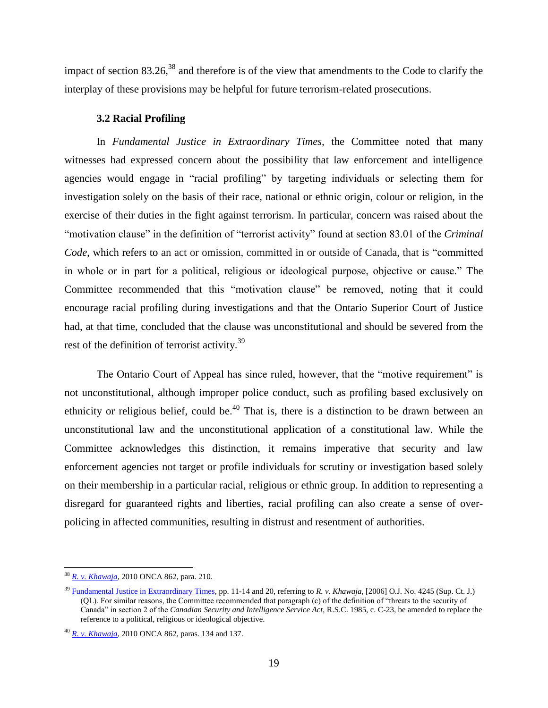impact of section  $83.26$ ,<sup>38</sup> and therefore is of the view that amendments to the Code to clarify the interplay of these provisions may be helpful for future terrorism-related prosecutions.

## **3.2 Racial Profiling**

<span id="page-21-0"></span>In *Fundamental Justice in Extraordinary Times,* the Committee noted that many witnesses had expressed concern about the possibility that law enforcement and intelligence agencies would engage in "racial profiling" by targeting individuals or selecting them for investigation solely on the basis of their race, national or ethnic origin, colour or religion, in the exercise of their duties in the fight against terrorism. In particular, concern was raised about the "motivation clause" in the definition of "terrorist activity" found at section 83.01 of the *Criminal Code*, which refers to an act or omission, committed in or outside of Canada, that is "committed in whole or in part for a political, religious or ideological purpose, objective or cause." The Committee recommended that this "motivation clause" be removed, noting that it could encourage racial profiling during investigations and that the Ontario Superior Court of Justice had, at that time, concluded that the clause was unconstitutional and should be severed from the rest of the definition of terrorist activity.<sup>39</sup>

The Ontario Court of Appeal has since ruled, however, that the "motive requirement" is not unconstitutional, although improper police conduct, such as profiling based exclusively on ethnicity or religious belief, could be.<sup>40</sup> That is, there is a distinction to be drawn between an unconstitutional law and the unconstitutional application of a constitutional law. While the Committee acknowledges this distinction, it remains imperative that security and law enforcement agencies not target or profile individuals for scrutiny or investigation based solely on their membership in a particular racial, religious or ethnic group. In addition to representing a disregard for guaranteed rights and liberties, racial profiling can also create a sense of overpolicing in affected communities, resulting in distrust and resentment of authorities.

 $\overline{a}$ <sup>38</sup> *[R. v. Khawaja](http://www.ontariocourts.on.ca/decisions/2010/december/2010ONCA0862.pdf)*, 2010 ONCA 862, para. 210.

<sup>39</sup> [Fundamental Justice in Extraordinary Times,](http://parl.gc.ca/39/1/parlbus/commbus/senate/Com-e/anti-e/rep-e/rep02feb07-e.pdf) pp. 11-14 and 20, referring to *R. v. Khawaja,* [2006] O.J. No. 4245 (Sup. Ct. J.) (QL). For similar reasons, the Committee recommended that paragraph (c) of the definition of "threats to the security of Canada‖ in section 2 of the *Canadian Security and Intelligence Service Act*, R.S.C. 1985, c. C-23, be amended to replace the reference to a political, religious or ideological objective.

<sup>40</sup> *[R. v. Khawaja](http://www.ontariocourts.on.ca/decisions/2010/december/2010ONCA0862.pdf)*, 2010 ONCA 862, paras. 134 and 137.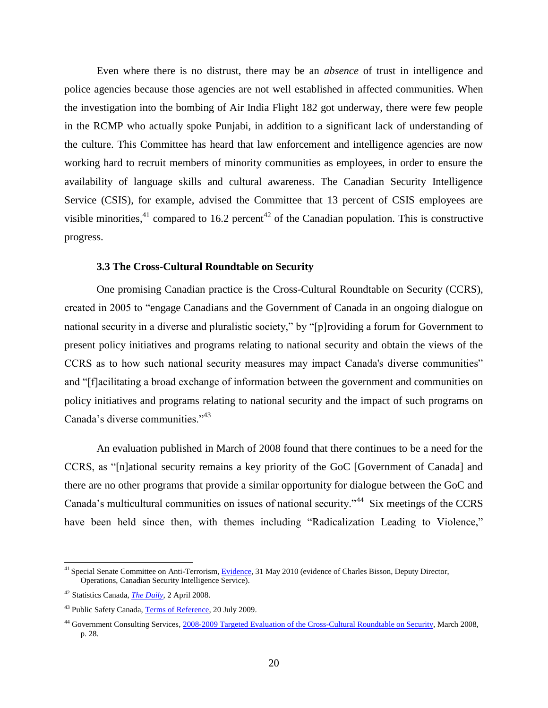Even where there is no distrust, there may be an *absence* of trust in intelligence and police agencies because those agencies are not well established in affected communities. When the investigation into the bombing of Air India Flight 182 got underway, there were few people in the RCMP who actually spoke Punjabi, in addition to a significant lack of understanding of the culture. This Committee has heard that law enforcement and intelligence agencies are now working hard to recruit members of minority communities as employees, in order to ensure the availability of language skills and cultural awareness. The Canadian Security Intelligence Service (CSIS), for example, advised the Committee that 13 percent of CSIS employees are visible minorities,<sup>41</sup> compared to 16.2 percent<sup>42</sup> of the Canadian population. This is constructive progress.

### **3.3 The Cross-Cultural Roundtable on Security**

<span id="page-22-0"></span>One promising Canadian practice is the Cross-Cultural Roundtable on Security (CCRS), created in 2005 to "engage Canadians and the Government of Canada in an ongoing dialogue on national security in a diverse and pluralistic society," by "[p]roviding a forum for Government to present policy initiatives and programs relating to national security and obtain the views of the CCRS as to how such national security measures may impact Canada's diverse communities" and "[f]acilitating a broad exchange of information between the government and communities on policy initiatives and programs relating to national security and the impact of such programs on Canada's diverse communities."<sup>43</sup>

An evaluation published in March of 2008 found that there continues to be a need for the CCRS, as "[n]ational security remains a key priority of the GoC [Government of Canada] and there are no other programs that provide a similar opportunity for dialogue between the GoC and Canada's multicultural communities on issues of national security."<sup>44</sup> Six meetings of the CCRS have been held since then, with themes including "Radicalization Leading to Violence,"

<sup>&</sup>lt;sup>41</sup> Special Senate Committee on Anti-Terrorism[, Evidence,](http://parl.gc.ca/40/3/parlbus/commbus/senate/com-e/anti-e/pdf/01issue.pdf) 31 May 2010 (evidence of Charles Bisson, Deputy Director, Operations, Canadian Security Intelligence Service).

<sup>42</sup> Statistics Canada, *[The Daily](http://www.statcan.gc.ca/daily-quotidien/080402/dq080402a-eng.htm)*, 2 April 2008.

<sup>&</sup>lt;sup>43</sup> Public Safety Canada, [Terms of Reference,](http://www.publicsafety.gc.ca/prg/ns/ccrs/ccrstor-eng.aspx) 20 July 2009.

<sup>&</sup>lt;sup>44</sup> Government Consulting Services, [2008-2009 Targeted Evaluation of the Cross-Cultural Roundtable on Security,](http://www.publicsafety.gc.ca/abt/dpr/eval/_fl/ccrs-trts-eng.pdf) March 2008, p. 28.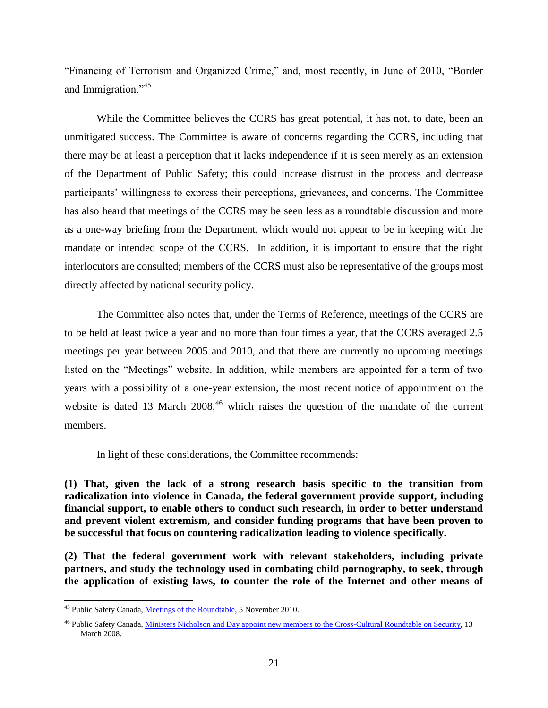"Financing of Terrorism and Organized Crime," and, most recently, in June of 2010, "Border and Immigration."<sup>45</sup>

While the Committee believes the CCRS has great potential, it has not, to date, been an unmitigated success. The Committee is aware of concerns regarding the CCRS, including that there may be at least a perception that it lacks independence if it is seen merely as an extension of the Department of Public Safety; this could increase distrust in the process and decrease participants' willingness to express their perceptions, grievances, and concerns. The Committee has also heard that meetings of the CCRS may be seen less as a roundtable discussion and more as a one-way briefing from the Department, which would not appear to be in keeping with the mandate or intended scope of the CCRS. In addition, it is important to ensure that the right interlocutors are consulted; members of the CCRS must also be representative of the groups most directly affected by national security policy.

The Committee also notes that, under the Terms of Reference, meetings of the CCRS are to be held at least twice a year and no more than four times a year, that the CCRS averaged 2.5 meetings per year between 2005 and 2010, and that there are currently no upcoming meetings listed on the "Meetings" website. In addition, while members are appointed for a term of two years with a possibility of a one-year extension, the most recent notice of appointment on the website is dated 13 March  $2008<sup>46</sup>$  which raises the question of the mandate of the current members.

In light of these considerations, the Committee recommends:

**(1) That, given the lack of a strong research basis specific to the transition from radicalization into violence in Canada, the federal government provide support, including financial support, to enable others to conduct such research, in order to better understand and prevent violent extremism, and consider funding programs that have been proven to be successful that focus on countering radicalization leading to violence specifically.**

**(2) That the federal government work with relevant stakeholders, including private partners, and study the technology used in combating child pornography, to seek, through the application of existing laws, to counter the role of the Internet and other means of** 

<sup>&</sup>lt;sup>45</sup> Public Safety Canada, [Meetings of the Roundtable,](http://www.publicsafety.gc.ca/prg/ns/ccrs/mtngs-eng.aspx) 5 November 2010.

<sup>&</sup>lt;sup>46</sup> Public Safety Canada, [Ministers Nicholson and Day appoint new members to the Cross-Cultural Roundtable on Security,](http://www.publicsafety.gc.ca/media/nr/2008/nr20080313-eng.aspx) 13 March 2008.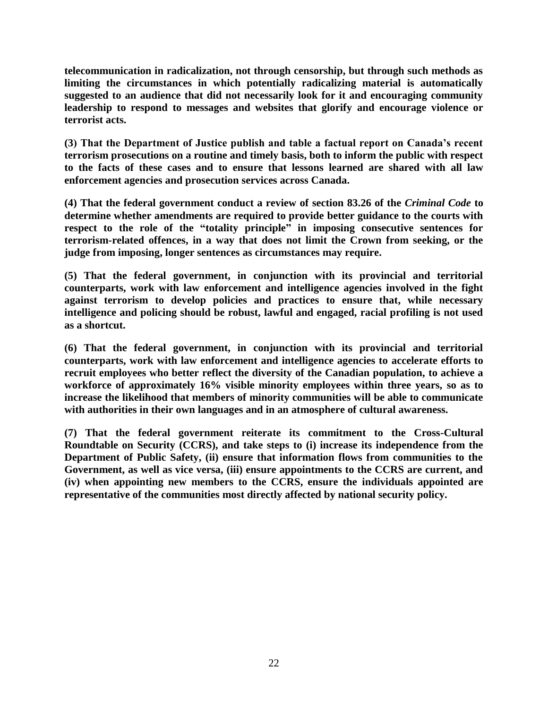**telecommunication in radicalization, not through censorship, but through such methods as limiting the circumstances in which potentially radicalizing material is automatically suggested to an audience that did not necessarily look for it and encouraging community leadership to respond to messages and websites that glorify and encourage violence or terrorist acts.**

**(3) That the Department of Justice publish and table a factual report on Canada's recent terrorism prosecutions on a routine and timely basis, both to inform the public with respect to the facts of these cases and to ensure that lessons learned are shared with all law enforcement agencies and prosecution services across Canada.**

**(4) That the federal government conduct a review of section 83.26 of the** *Criminal Code* **to determine whether amendments are required to provide better guidance to the courts with respect to the role of the "totality principle" in imposing consecutive sentences for terrorism-related offences, in a way that does not limit the Crown from seeking, or the judge from imposing, longer sentences as circumstances may require.** 

**(5) That the federal government, in conjunction with its provincial and territorial counterparts, work with law enforcement and intelligence agencies involved in the fight against terrorism to develop policies and practices to ensure that, while necessary intelligence and policing should be robust, lawful and engaged, racial profiling is not used as a shortcut.**

**(6) That the federal government, in conjunction with its provincial and territorial counterparts, work with law enforcement and intelligence agencies to accelerate efforts to recruit employees who better reflect the diversity of the Canadian population, to achieve a workforce of approximately 16% visible minority employees within three years, so as to increase the likelihood that members of minority communities will be able to communicate with authorities in their own languages and in an atmosphere of cultural awareness.**

**(7) That the federal government reiterate its commitment to the Cross-Cultural Roundtable on Security (CCRS), and take steps to (i) increase its independence from the Department of Public Safety, (ii) ensure that information flows from communities to the Government, as well as vice versa, (iii) ensure appointments to the CCRS are current, and (iv) when appointing new members to the CCRS, ensure the individuals appointed are representative of the communities most directly affected by national security policy.**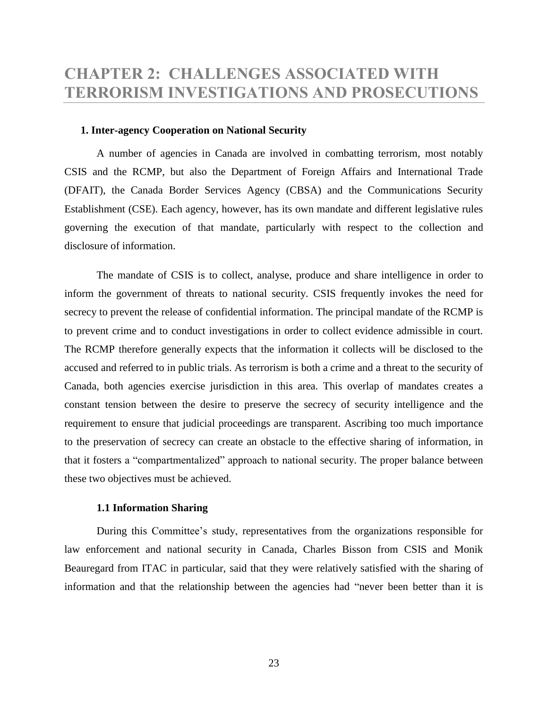## <span id="page-25-0"></span>**CHAPTER 2: CHALLENGES ASSOCIATED WITH TERRORISM INVESTIGATIONS AND PROSECUTIONS**

#### <span id="page-25-1"></span>**1. Inter-agency Cooperation on National Security**

A number of agencies in Canada are involved in combatting terrorism, most notably CSIS and the RCMP, but also the Department of Foreign Affairs and International Trade (DFAIT), the Canada Border Services Agency (CBSA) and the Communications Security Establishment (CSE). Each agency, however, has its own mandate and different legislative rules governing the execution of that mandate, particularly with respect to the collection and disclosure of information.

The mandate of CSIS is to collect, analyse, produce and share intelligence in order to inform the government of threats to national security. CSIS frequently invokes the need for secrecy to prevent the release of confidential information. The principal mandate of the RCMP is to prevent crime and to conduct investigations in order to collect evidence admissible in court. The RCMP therefore generally expects that the information it collects will be disclosed to the accused and referred to in public trials. As terrorism is both a crime and a threat to the security of Canada, both agencies exercise jurisdiction in this area. This overlap of mandates creates a constant tension between the desire to preserve the secrecy of security intelligence and the requirement to ensure that judicial proceedings are transparent. Ascribing too much importance to the preservation of secrecy can create an obstacle to the effective sharing of information, in that it fosters a "compartmentalized" approach to national security. The proper balance between these two objectives must be achieved.

### **1.1 Information Sharing**

<span id="page-25-2"></span>During this Committee's study, representatives from the organizations responsible for law enforcement and national security in Canada, Charles Bisson from CSIS and Monik Beauregard from ITAC in particular, said that they were relatively satisfied with the sharing of information and that the relationship between the agencies had "never been better than it is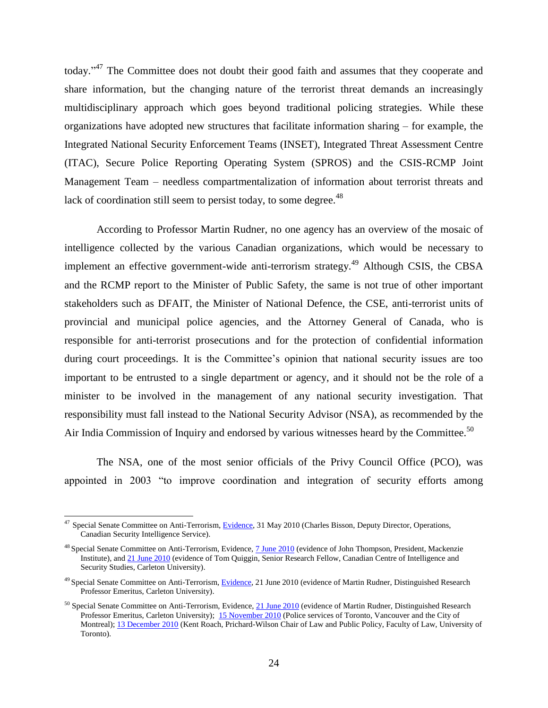today."<sup>47</sup> The Committee does not doubt their good faith and assumes that they cooperate and share information, but the changing nature of the terrorist threat demands an increasingly multidisciplinary approach which goes beyond traditional policing strategies. While these organizations have adopted new structures that facilitate information sharing – for example, the Integrated National Security Enforcement Teams (INSET), Integrated Threat Assessment Centre (ITAC), Secure Police Reporting Operating System (SPROS) and the CSIS-RCMP Joint Management Team – needless compartmentalization of information about terrorist threats and lack of coordination still seem to persist today, to some degree.<sup>48</sup>

According to Professor Martin Rudner, no one agency has an overview of the mosaic of intelligence collected by the various Canadian organizations, which would be necessary to implement an effective government-wide anti-terrorism strategy.<sup>49</sup> Although CSIS, the CBSA and the RCMP report to the Minister of Public Safety, the same is not true of other important stakeholders such as DFAIT, the Minister of National Defence, the CSE, anti-terrorist units of provincial and municipal police agencies, and the Attorney General of Canada, who is responsible for anti-terrorist prosecutions and for the protection of confidential information during court proceedings. It is the Committee's opinion that national security issues are too important to be entrusted to a single department or agency, and it should not be the role of a minister to be involved in the management of any national security investigation. That responsibility must fall instead to the National Security Advisor (NSA), as recommended by the Air India Commission of Inquiry and endorsed by various witnesses heard by the Committee.<sup>50</sup>

The NSA, one of the most senior officials of the Privy Council Office (PCO), was appointed in 2003 "to improve coordination and integration of security efforts among

<sup>&</sup>lt;sup>47</sup> Special Senate Committee on Anti-Terrorism, [Evidence,](http://parl.gc.ca/40/3/parlbus/commbus/senate/com-e/anti-e/pdf/01issue.pdf) 31 May 2010 (Charles Bisson, Deputy Director, Operations, Canadian Security Intelligence Service).

<sup>&</sup>lt;sup>48</sup> Special Senate Committee on Anti-Terrorism, Evidence[, 7 June 2010](http://parl.gc.ca/40/3/parlbus/commbus/senate/Com-e/anti-e/pdf/02issue.pdf) (evidence of John Thompson, President, Mackenzie Institute), an[d 21 June 2010](http://parl.gc.ca/40/3/parlbus/commbus/senate/Com-e/anti-e/pdf/04issue.pdf) (evidence of Tom Quiggin, Senior Research Fellow, Canadian Centre of Intelligence and Security Studies, Carleton University).

 $49$  Special Senate Committee on Anti-Terrorism[, Evidence,](http://parl.gc.ca/40/3/parlbus/commbus/senate/com-e/anti-e/pdf/04issue.pdf) 21 June 2010 (evidence of Martin Rudner, Distinguished Research Professor Emeritus, Carleton University).

 $50$  Special Senate Committee on Anti-Terrorism, Evidence, [21 June 2010](http://parl.gc.ca/40/3/parlbus/commbus/senate/com-e/anti-e/pdf/04issue.pdf) (evidence of Martin Rudner, Distinguished Research Professor Emeritus, Carleton University); 15 [November 2010](http://parl.gc.ca/40/3/parlbus/commbus/senate/Com-e/anti-e/pdf/08issue.pdf) (Police services of Toronto, Vancouver and the City of Montreal)[; 13 December 2010](http://parl.gc.ca/40/3/parlbus/commbus/senate/Com-e/anti-e/pdf/11issue.pdf) (Kent Roach, Prichard-Wilson Chair of Law and Public Policy, Faculty of Law, University of Toronto).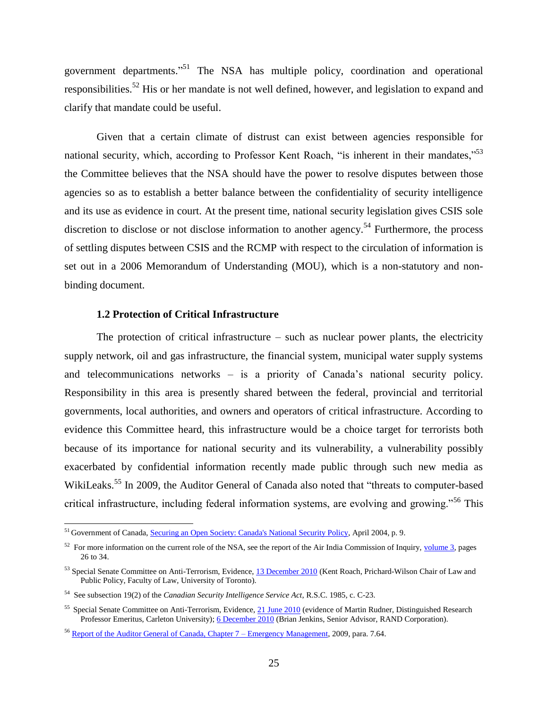government departments."<sup>51</sup> The NSA has multiple policy, coordination and operational responsibilities.<sup>52</sup> His or her mandate is not well defined, however, and legislation to expand and clarify that mandate could be useful.

Given that a certain climate of distrust can exist between agencies responsible for national security, which, according to Professor Kent Roach, "is inherent in their mandates," $53$ the Committee believes that the NSA should have the power to resolve disputes between those agencies so as to establish a better balance between the confidentiality of security intelligence and its use as evidence in court. At the present time, national security legislation gives CSIS sole discretion to disclose or not disclose information to another agency.<sup>54</sup> Furthermore, the process of settling disputes between CSIS and the RCMP with respect to the circulation of information is set out in a 2006 Memorandum of Understanding (MOU), which is a non-statutory and nonbinding document.

## **1.2 Protection of Critical Infrastructure**

 $\overline{a}$ 

<span id="page-27-0"></span>The protection of critical infrastructure  $-$  such as nuclear power plants, the electricity supply network, oil and gas infrastructure, the financial system, municipal water supply systems and telecommunications networks – is a priority of Canada's national security policy. Responsibility in this area is presently shared between the federal, provincial and territorial governments, local authorities, and owners and operators of critical infrastructure. According to evidence this Committee heard, this infrastructure would be a choice target for terrorists both because of its importance for national security and its vulnerability, a vulnerability possibly exacerbated by confidential information recently made public through such new media as WikiLeaks.<sup>55</sup> In 2009, the Auditor General of Canada also noted that "threats to computer-based critical infrastructure, including federal information systems, are evolving and growing."<sup>56</sup> This

<sup>&</sup>lt;sup>51</sup> Government of Canada, [Securing an Open Society: Canada's National Security Policy,](http://dsp-psd.pwgsc.gc.ca/Collection/CP22-77-2004E.pdf) April 2004, p. 9.

 $52$  For more information on the current role of the NSA, see the report of the Air India Commission of Inquiry,  $volume 3$ , pages</u> 26 to 34.

<sup>&</sup>lt;sup>53</sup> Special Senate Committee on Anti-Terrorism, Evidence, [13 December 2010](http://parl.gc.ca/40/3/parlbus/commbus/senate/Com-e/anti-e/pdf/11issue.pdf) (Kent Roach, Prichard-Wilson Chair of Law and Public Policy, Faculty of Law, University of Toronto).

<sup>54</sup> See subsection 19(2) of the *Canadian Security Intelligence Service Act*, R.S.C. 1985, c. C-23.

<sup>&</sup>lt;sup>55</sup> Special Senate Committee on Anti-Terrorism, Evidence[, 21 June 2010](http://parl.gc.ca/40/3/parlbus/commbus/senate/com-e/anti-e/pdf/04issue.pdf) (evidence of Martin Rudner, Distinguished Research Professor Emeritus, Carleton University); [6 December 2010](http://parl.gc.ca/40/3/parlbus/commbus/senate/Com-e/anti-e/pdf/10issue.pdf) (Brian Jenkins, Senior Advisor, RAND Corporation).

<sup>&</sup>lt;sup>56</sup> [Report of the Auditor General of Canada, Chapter 7 –](http://www.oag-bvg.gc.ca/internet/docs/parl_oag_200911_07_e.pdf) Emergency Management, 2009, para. 7.64.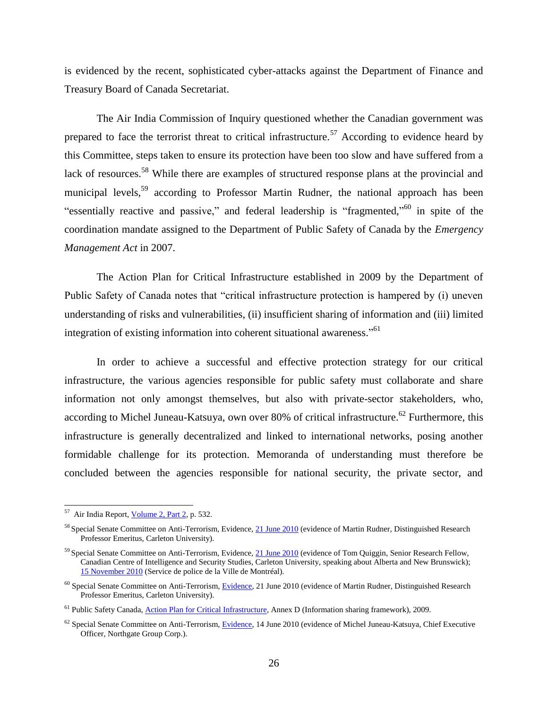is evidenced by the recent, sophisticated cyber-attacks against the Department of Finance and Treasury Board of Canada Secretariat.

The Air India Commission of Inquiry questioned whether the Canadian government was prepared to face the terrorist threat to critical infrastructure.<sup>57</sup> According to evidence heard by this Committee, steps taken to ensure its protection have been too slow and have suffered from a lack of resources.<sup>58</sup> While there are examples of structured response plans at the provincial and municipal levels,<sup>59</sup> according to Professor Martin Rudner, the national approach has been "essentially reactive and passive," and federal leadership is "fragmented,"<sup>60</sup> in spite of the coordination mandate assigned to the Department of Public Safety of Canada by the *Emergency Management Act* in 2007.

The Action Plan for Critical Infrastructure established in 2009 by the Department of Public Safety of Canada notes that "critical infrastructure protection is hampered by (i) uneven understanding of risks and vulnerabilities, (ii) insufficient sharing of information and (iii) limited integration of existing information into coherent situational awareness."<sup>61</sup>

In order to achieve a successful and effective protection strategy for our critical infrastructure, the various agencies responsible for public safety must collaborate and share information not only amongst themselves, but also with private-sector stakeholders, who, according to Michel Juneau-Katsuya, own over 80% of critical infrastructure.<sup>62</sup> Furthermore, this infrastructure is generally decentralized and linked to international networks, posing another formidable challenge for its protection. Memoranda of understanding must therefore be concluded between the agencies responsible for national security, the private sector, and

 57 Air India Report[, Volume 2, Part 2,](http://epe.lac-bac.gc.ca/100/206/301/pco-bcp/commissions/air_india/2010-07-23/www.majorcomm.ca/en/reports/finalreport/volume2/volume2-part2.pdf) p. 532.

<sup>&</sup>lt;sup>58</sup> Special Senate Committee on Anti-Terrorism, Evidence[, 21 June 2010](http://parl.gc.ca/40/3/parlbus/commbus/senate/com-e/anti-e/pdf/04issue.pdf) (evidence of Martin Rudner, Distinguished Research Professor Emeritus, Carleton University).

<sup>&</sup>lt;sup>59</sup> Special Senate Committee on Anti-Terrorism, Evidence[, 21 June 2010](http://parl.gc.ca/40/3/parlbus/commbus/senate/com-e/anti-e/pdf/04issue.pdf) (evidence of Tom Quiggin, Senior Research Fellow, Canadian Centre of Intelligence and Security Studies, Carleton University, speaking about Alberta and New Brunswick); 15 [November 2010](http://parl.gc.ca/40/3/parlbus/commbus/senate/Com-e/anti-e/pdf/08issue.pdf) (Service de police de la Ville de Montréal).

<sup>&</sup>lt;sup>60</sup> Special Senate Committee on Anti-Terrorism, [Evidence,](http://parl.gc.ca/40/3/parlbus/commbus/senate/Com-e/anti-e/pdf/04issue.pdf) 21 June 2010 (evidence of Martin Rudner, Distinguished Research Professor Emeritus, Carleton University).

<sup>&</sup>lt;sup>61</sup> Public Safety Canada, **Action Plan for Critical Infrastructure**, Annex D (Information sharing framework), 2009.

 $62$  Special Senate Committee on Anti-Terrorism, [Evidence,](http://parl.gc.ca/40/3/parlbus/commbus/senate/Com-e/anti-e/pdf/03issue.pdf) 14 June 2010 (evidence of Michel Juneau-Katsuya, Chief Executive Officer, Northgate Group Corp.).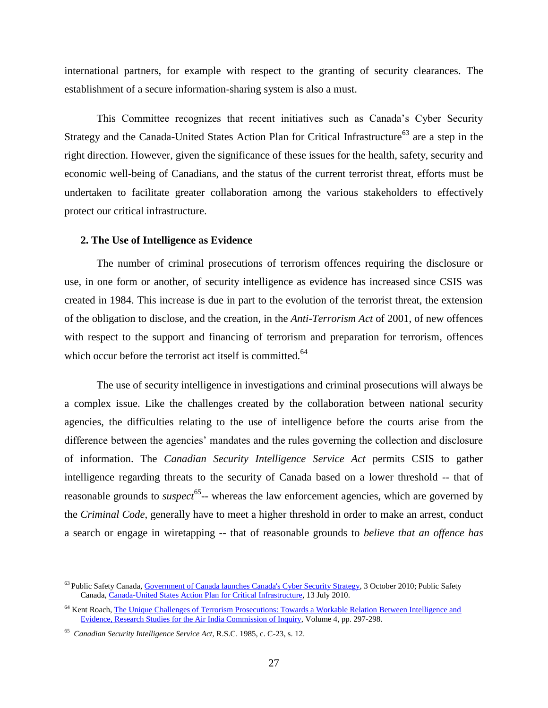international partners, for example with respect to the granting of security clearances. The establishment of a secure information-sharing system is also a must.

This Committee recognizes that recent initiatives such as Canada's Cyber Security Strategy and the Canada-United States Action Plan for Critical Infrastructure<sup>63</sup> are a step in the right direction. However, given the significance of these issues for the health, safety, security and economic well-being of Canadians, and the status of the current terrorist threat, efforts must be undertaken to facilitate greater collaboration among the various stakeholders to effectively protect our critical infrastructure.

### <span id="page-29-0"></span>**2. The Use of Intelligence as Evidence**

The number of criminal prosecutions of terrorism offences requiring the disclosure or use, in one form or another, of security intelligence as evidence has increased since CSIS was created in 1984. This increase is due in part to the evolution of the terrorist threat, the extension of the obligation to disclose, and the creation, in the *Anti-Terrorism Act* of 2001, of new offences with respect to the support and financing of terrorism and preparation for terrorism, offences which occur before the terrorist act itself is committed.<sup>64</sup>

The use of security intelligence in investigations and criminal prosecutions will always be a complex issue. Like the challenges created by the collaboration between national security agencies, the difficulties relating to the use of intelligence before the courts arise from the difference between the agencies' mandates and the rules governing the collection and disclosure of information. The *Canadian Security Intelligence Service Act* permits CSIS to gather intelligence regarding threats to the security of Canada based on a lower threshold -- that of reasonable grounds to *suspect*<sup>65</sup>-- whereas the law enforcement agencies, which are governed by the *Criminal Code*, generally have to meet a higher threshold in order to make an arrest, conduct a search or engage in wiretapping -- that of reasonable grounds to *believe that an offence has* 

<sup>&</sup>lt;sup>63</sup> Public Safety Canada, *Government of Canada launches Canada's Cyber Security Strategy*, 3 October 2010; Public Safety Canada[, Canada-United States Action Plan for Critical Infrastructure,](http://www.publicsafety.gc.ca/prg/em/ci/cnus-ct-pln-eng.aspx) 13 July 2010.

<sup>&</sup>lt;sup>64</sup> Kent Roach, The Unique Challenges of Terrorism Prosecutions: Towards a Workable Relation Between Intelligence and [Evidence, Research Studies for the Air India Commission of Inquiry,](http://epe.lac-bac.gc.ca/100/206/301/pco-bcp/commissions/air_india/2010-07-23/www.majorcomm.ca/en/reports/finalreport/researchstudies/volume4/volume4.pdf) Volume 4, pp. 297-298.

<sup>65</sup> *Canadian Security Intelligence Service Act*, R.S.C. 1985, c. C-23, s. 12.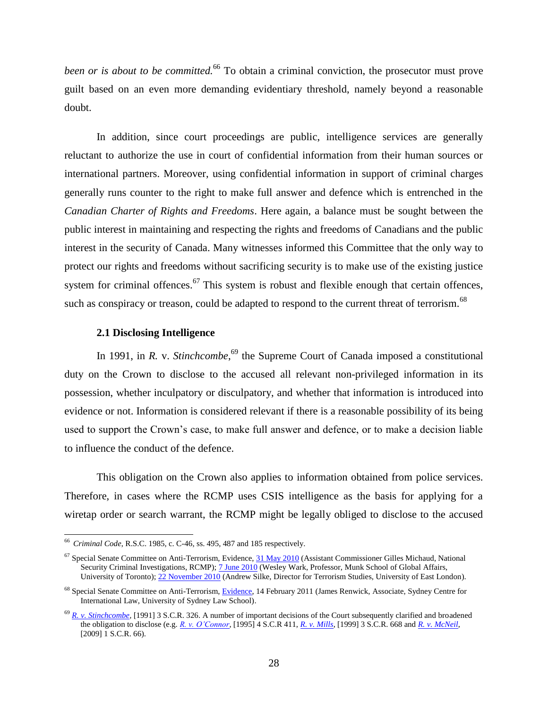*been or is about to be committed.*<sup>66</sup> To obtain a criminal conviction, the prosecutor must prove guilt based on an even more demanding evidentiary threshold, namely beyond a reasonable doubt.

In addition, since court proceedings are public, intelligence services are generally reluctant to authorize the use in court of confidential information from their human sources or international partners. Moreover, using confidential information in support of criminal charges generally runs counter to the right to make full answer and defence which is entrenched in the *Canadian Charter of Rights and Freedoms*. Here again, a balance must be sought between the public interest in maintaining and respecting the rights and freedoms of Canadians and the public interest in the security of Canada. Many witnesses informed this Committee that the only way to protect our rights and freedoms without sacrificing security is to make use of the existing justice system for criminal offences.<sup>67</sup> This system is robust and flexible enough that certain offences, such as conspiracy or treason, could be adapted to respond to the current threat of terrorism.<sup>68</sup>

#### **2.1 Disclosing Intelligence**

<span id="page-30-0"></span>In 1991, in *R. v. Stinchcombe*,<sup>69</sup> the Supreme Court of Canada imposed a constitutional duty on the Crown to disclose to the accused all relevant non-privileged information in its possession, whether inculpatory or disculpatory, and whether that information is introduced into evidence or not. Information is considered relevant if there is a reasonable possibility of its being used to support the Crown's case, to make full answer and defence, or to make a decision liable to influence the conduct of the defence.

This obligation on the Crown also applies to information obtained from police services. Therefore, in cases where the RCMP uses CSIS intelligence as the basis for applying for a wiretap order or search warrant, the RCMP might be legally obliged to disclose to the accused

<sup>66</sup> *Criminal Code*, R.S.C. 1985, c. C-46, ss. 495, 487 and 185 respectively.

 $^{67}$  Special Senate Committee on Anti-Terrorism, Evidence,  $31$  May  $2010$  (Assistant Commissioner Gilles Michaud, National Security Criminal Investigations, RCMP)[; 7 June 2010](http://parl.gc.ca/40/3/parlbus/commbus/senate/com-e/anti-e/pdf/02issue.pdf) (Wesley Wark, Professor, Munk School of Global Affairs, University of Toronto)[; 22 November 2010](http://parl.gc.ca/40/3/parlbus/commbus/senate/com-e/anti-e/pdf/09issue.pdf) (Andrew Silke, Director for Terrorism Studies, University of East London).

<sup>&</sup>lt;sup>68</sup> Special Senate Committee on Anti-Terrorism, [Evidence,](http://parl.gc.ca/40/3/parlbus/commbus/senate/com-e/anti-e/pdf/13issue.pdf) 14 February 2011 (James Renwick, Associate, Sydney Centre for International Law, University of Sydney Law School).

<sup>&</sup>lt;sup>69</sup> *[R. v. Stinchcombe,](http://scc.lexum.umontreal.ca/en/1991/1991scr3-326/1991scr3-326.html)* [1991] 3 S.C.R. 326. A number of important decisions of the Court subsequently clarified and broadened the obligation to disclose (e.g. *[R. v. O'Connor](http://scc.lexum.umontreal.ca/en/1995/1995scr4-411/1995scr4-411.html)*, [1995] 4 S.C.R 411, *[R. v. Mills](http://scc.lexum.umontreal.ca/en/1999/1999scr3-668/1999scr3-668.html)*, [1999] 3 S.C.R. 668 and *[R. v. McNeil](http://scc.lexum.umontreal.ca/en/2009/2009scc3/2009scc3.html)*,  $[2009]$  1 S.C.R. 66).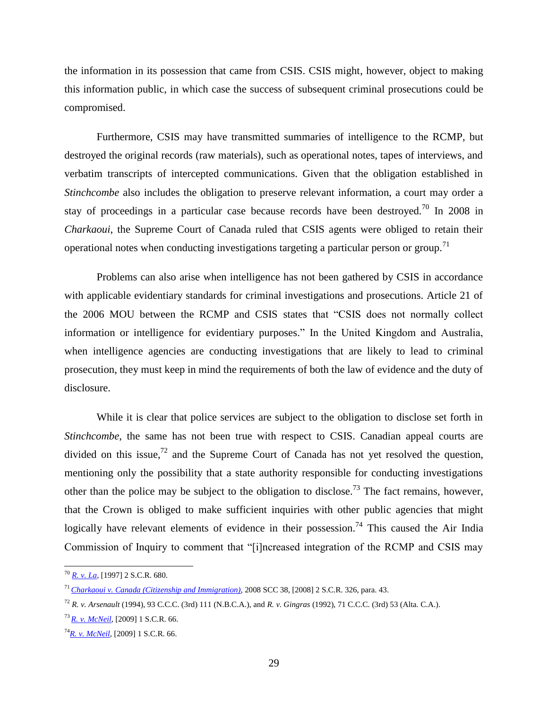the information in its possession that came from CSIS. CSIS might, however, object to making this information public, in which case the success of subsequent criminal prosecutions could be compromised.

Furthermore, CSIS may have transmitted summaries of intelligence to the RCMP, but destroyed the original records (raw materials), such as operational notes, tapes of interviews, and verbatim transcripts of intercepted communications. Given that the obligation established in *Stinchcombe* also includes the obligation to preserve relevant information, a court may order a stay of proceedings in a particular case because records have been destroyed.<sup>70</sup> In 2008 in *Charkaoui*, the Supreme Court of Canada ruled that CSIS agents were obliged to retain their operational notes when conducting investigations targeting a particular person or group.<sup>71</sup>

Problems can also arise when intelligence has not been gathered by CSIS in accordance with applicable evidentiary standards for criminal investigations and prosecutions. Article 21 of the 2006 MOU between the RCMP and CSIS states that "CSIS does not normally collect information or intelligence for evidentiary purposes." In the United Kingdom and Australia, when intelligence agencies are conducting investigations that are likely to lead to criminal prosecution, they must keep in mind the requirements of both the law of evidence and the duty of disclosure.

While it is clear that police services are subject to the obligation to disclose set forth in *Stinchcombe*, the same has not been true with respect to CSIS. Canadian appeal courts are divided on this issue,<sup>72</sup> and the Supreme Court of Canada has not yet resolved the question, mentioning only the possibility that a state authority responsible for conducting investigations other than the police may be subject to the obligation to disclose.<sup>73</sup> The fact remains, however, that the Crown is obliged to make sufficient inquiries with other public agencies that might logically have relevant elements of evidence in their possession.<sup>74</sup> This caused the Air India Commission of Inquiry to comment that "[i]ncreased integration of the RCMP and CSIS may

<sup>70</sup> *[R. v. La](http://scc.lexum.umontreal.ca/en/1997/1997scr2-680/1997scr2-680.html)*, [1997] 2 S.C.R. 680.

<sup>71</sup> *[Charkaoui v. Canada \(Citizenship and Immigration\),](http://scc.lexum.umontreal.ca/en/2008/2008scc38/2008scc38.html)* 2008 SCC 38, [2008] 2 S.C.R. 326, para. 43.

<sup>72</sup> *R. v. Arsenault* (1994), 93 C.C.C. (3rd) 111 (N.B.C.A.), and *R. v. Gingras* (1992), 71 C.C.C. (3rd) 53 (Alta. C.A.).

<sup>73</sup> *[R. v. McNeil](http://scc.lexum.umontreal.ca/en/2009/2009scc3/2009scc3.html)*, [2009] 1 S.C.R. 66.

<sup>74</sup>*[R. v. McNeil](http://scc.lexum.umontreal.ca/en/2009/2009scc3/2009scc3.html)*, [2009] 1 S.C.R. 66.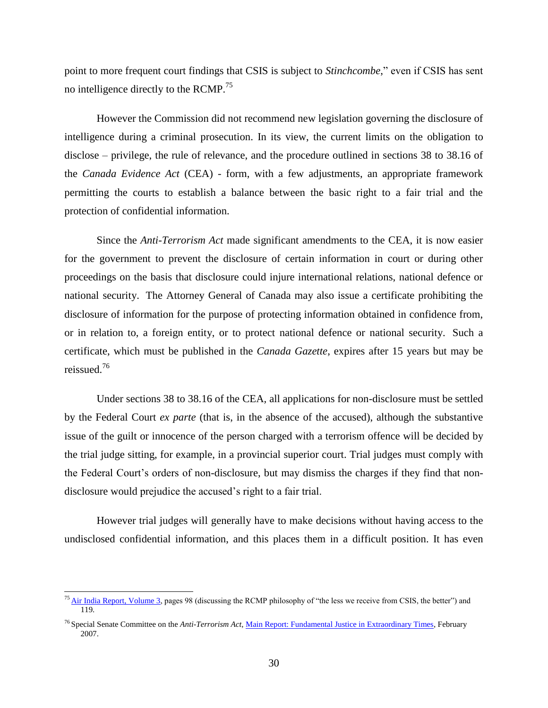point to more frequent court findings that CSIS is subject to *Stinchcombe*," even if CSIS has sent no intelligence directly to the RCMP.<sup>75</sup>

However the Commission did not recommend new legislation governing the disclosure of intelligence during a criminal prosecution. In its view, the current limits on the obligation to disclose – privilege, the rule of relevance, and the procedure outlined in sections 38 to 38.16 of the *Canada Evidence Act* (CEA) - form, with a few adjustments, an appropriate framework permitting the courts to establish a balance between the basic right to a fair trial and the protection of confidential information.

Since the *Anti-Terrorism Act* made significant amendments to the CEA, it is now easier for the government to prevent the disclosure of certain information in court or during other proceedings on the basis that disclosure could injure international relations, national defence or national security. The Attorney General of Canada may also issue a certificate prohibiting the disclosure of information for the purpose of protecting information obtained in confidence from, or in relation to, a foreign entity, or to protect national defence or national security. Such a certificate, which must be published in the *Canada Gazette*, expires after 15 years but may be reissued.<sup>76</sup>

Under sections 38 to 38.16 of the CEA*,* all applications for non-disclosure must be settled by the Federal Court *ex parte* (that is, in the absence of the accused), although the substantive issue of the guilt or innocence of the person charged with a terrorism offence will be decided by the trial judge sitting, for example, in a provincial superior court. Trial judges must comply with the Federal Court's orders of non-disclosure, but may dismiss the charges if they find that nondisclosure would prejudice the accused's right to a fair trial.

However trial judges will generally have to make decisions without having access to the undisclosed confidential information, and this places them in a difficult position. It has even

<sup>&</sup>lt;sup>75</sup> [Air India Report, Volume 3,](http://epe.lac-bac.gc.ca/100/206/301/pco-bcp/commissions/air_india/2010-07-23/www.majorcomm.ca/en/reports/finalreport/volume3/volume3.pdf) pages 98 (discussing the RCMP philosophy of "the less we receive from CSIS, the better") and 119.

<sup>76</sup> Special Senate Committee on the *Anti-Terrorism Act*[, Main Report: Fundamental Justice in Extraordinary Times,](http://parl.gc.ca/39/1/parlbus/commbus/senate/com-e/anti-e/rep-e/rep02feb07-e.htm) February 2007.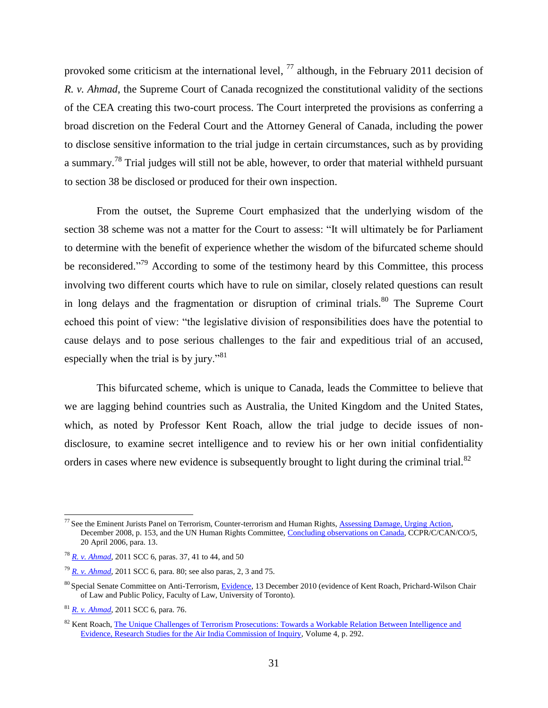provoked some criticism at the international level,  $^{77}$  although, in the February 2011 decision of *R. v. Ahmad*, the Supreme Court of Canada recognized the constitutional validity of the sections of the CEA creating this two-court process. The Court interpreted the provisions as conferring a broad discretion on the Federal Court and the Attorney General of Canada, including the power to disclose sensitive information to the trial judge in certain circumstances, such as by providing a summary.<sup>78</sup> Trial judges will still not be able, however, to order that material withheld pursuant to section 38 be disclosed or produced for their own inspection.

From the outset, the Supreme Court emphasized that the underlying wisdom of the section 38 scheme was not a matter for the Court to assess: "It will ultimately be for Parliament to determine with the benefit of experience whether the wisdom of the bifurcated scheme should be reconsidered."<sup>79</sup> According to some of the testimony heard by this Committee, this process involving two different courts which have to rule on similar, closely related questions can result in long delays and the fragmentation or disruption of criminal trials.<sup>80</sup> The Supreme Court echoed this point of view: "the legislative division of responsibilities does have the potential to cause delays and to pose serious challenges to the fair and expeditious trial of an accused, especially when the trial is by jury."<sup>81</sup>

This bifurcated scheme, which is unique to Canada, leads the Committee to believe that we are lagging behind countries such as Australia, the United Kingdom and the United States, which, as noted by Professor Kent Roach, allow the trial judge to decide issues of nondisclosure, to examine secret intelligence and to review his or her own initial confidentiality orders in cases where new evidence is subsequently brought to light during the criminal trial.<sup>82</sup>

<sup>&</sup>lt;sup>77</sup> See the Eminent Jurists Panel on Terrorism, Counter-terrorism and Human Rights, [Assessing Damage, Urging Action,](http://ejp.icj.org/IMG/EJP-Report.pdf) December 2008, p. 153, and the UN Human Rights Committee[, Concluding observations on Canada,](http://www.unhchr.ch/tbs/doc.nsf/(Symbol)/CCPR.C.CAN.CO.5.En?Opendocument) CCPR/C/CAN/CO/5, 20 April 2006, para. 13.

<sup>78</sup> *[R. v. Ahmad](http://scc.lexum.umontreal.ca/en/2011/2011scc6/2011scc6.html)*, 2011 SCC 6, paras. 37, 41 to 44, and 50

<sup>79</sup> *[R. v. Ahmad](http://scc.lexum.umontreal.ca/en/2011/2011scc6/2011scc6.html)*, 2011 SCC 6, para. 80; see also paras, 2, 3 and 75.

<sup>80</sup> Special Senate Committee on Anti-Terrorism[, Evidence,](http://parl.gc.ca/40/3/parlbus/commbus/senate/Com-e/anti-e/pdf/11issue.pdf) 13 December 2010 (evidence of Kent Roach, Prichard-Wilson Chair of Law and Public Policy, Faculty of Law, University of Toronto).

<sup>81</sup> *[R. v. Ahmad](http://scc.lexum.umontreal.ca/en/2011/2011scc6/2011scc6.html)*, 2011 SCC 6, para. 76.

<sup>&</sup>lt;sup>82</sup> Kent Roach, The Unique Challenges of Terrorism Prosecutions: Towards a Workable Relation Between Intelligence and [Evidence, Research Studies for the Air India Commission of Inquiry,](http://epe.lac-bac.gc.ca/100/206/301/pco-bcp/commissions/air_india/2010-07-23/www.majorcomm.ca/en/reports/finalreport/researchstudies/volume4/volume4.pdf) Volume 4, p. 292.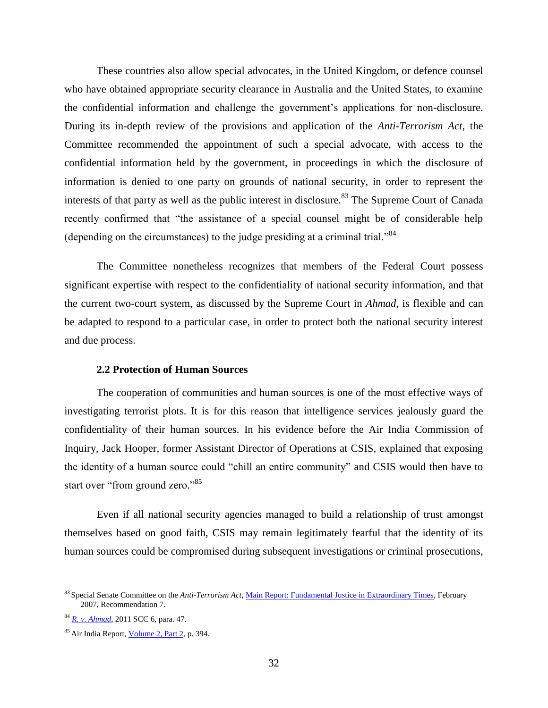These countries also allow special advocates, in the United Kingdom, or defence counsel who have obtained appropriate security clearance in Australia and the United States, to examine the confidential information and challenge the government's applications for non-disclosure. During its in-depth review of the provisions and application of the *Anti-Terrorism Act*, the Committee recommended the appointment of such a special advocate, with access to the confidential information held by the government, in proceedings in which the disclosure of information is denied to one party on grounds of national security, in order to represent the interests of that party as well as the public interest in disclosure.<sup>83</sup> The Supreme Court of Canada recently confirmed that "the assistance of a special counsel might be of considerable help (depending on the circumstances) to the judge presiding at a criminal trial.<sup>84</sup>

The Committee nonetheless recognizes that members of the Federal Court possess significant expertise with respect to the confidentiality of national security information, and that the current two-court system, as discussed by the Supreme Court in *Ahmad*, is flexible and can be adapted to respond to a particular case, in order to protect both the national security interest and due process.

## **2.2 Protection of Human Sources**

<span id="page-34-0"></span>The cooperation of communities and human sources is one of the most effective ways of investigating terrorist plots. It is for this reason that intelligence services jealously guard the confidentiality of their human sources. In his evidence before the Air India Commission of Inquiry, Jack Hooper, former Assistant Director of Operations at CSIS, explained that exposing the identity of a human source could "chill an entire community" and CSIS would then have to start over "from ground zero."<sup>85</sup>

Even if all national security agencies managed to build a relationship of trust amongst themselves based on good faith, CSIS may remain legitimately fearful that the identity of its human sources could be compromised during subsequent investigations or criminal prosecutions,

<sup>83</sup> Special Senate Committee on the *Anti-Terrorism Act*[, Main Report: Fundamental Justice in Extraordinary Times,](http://parl.gc.ca/39/1/parlbus/commbus/senate/com-e/anti-e/rep-e/rep02feb07-e.htm) February 2007, Recommendation 7.

<sup>84</sup> *[R. v. Ahmad](http://scc.lexum.umontreal.ca/en/2011/2011scc6/2011scc6.html)*, 2011 SCC 6, para. 47.

<sup>85</sup> Air India Report[, Volume 2, Part 2,](http://epe.lac-bac.gc.ca/100/206/301/pco-bcp/commissions/air_india/2010-07-23/www.majorcomm.ca/en/reports/finalreport/volume2/volume2-part2.pdf) p. 394.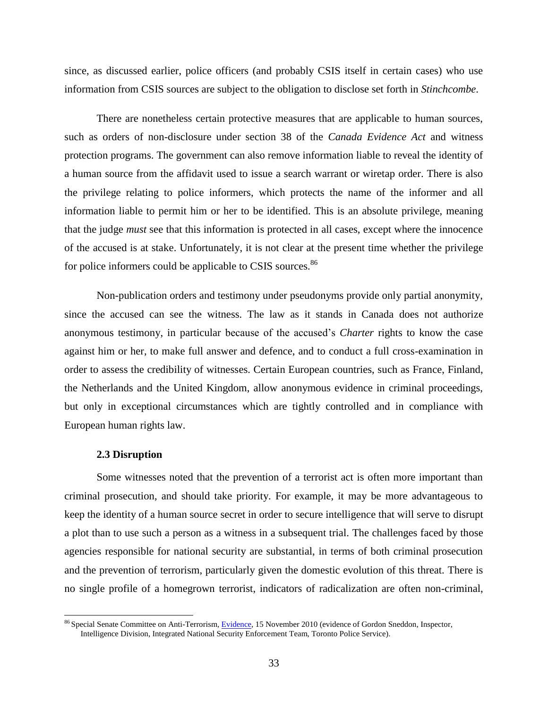since, as discussed earlier, police officers (and probably CSIS itself in certain cases) who use information from CSIS sources are subject to the obligation to disclose set forth in *Stinchcombe*.

There are nonetheless certain protective measures that are applicable to human sources, such as orders of non-disclosure under section 38 of the *Canada Evidence Act* and witness protection programs. The government can also remove information liable to reveal the identity of a human source from the affidavit used to issue a search warrant or wiretap order. There is also the privilege relating to police informers, which protects the name of the informer and all information liable to permit him or her to be identified. This is an absolute privilege, meaning that the judge *must* see that this information is protected in all cases, except where the innocence of the accused is at stake. Unfortunately, it is not clear at the present time whether the privilege for police informers could be applicable to CSIS sources.<sup>86</sup>

Non-publication orders and testimony under pseudonyms provide only partial anonymity, since the accused can see the witness. The law as it stands in Canada does not authorize anonymous testimony, in particular because of the accused's *Charter* rights to know the case against him or her, to make full answer and defence, and to conduct a full cross-examination in order to assess the credibility of witnesses. Certain European countries, such as France, Finland, the Netherlands and the United Kingdom, allow anonymous evidence in criminal proceedings, but only in exceptional circumstances which are tightly controlled and in compliance with European human rights law.

#### **2.3 Disruption**

 $\overline{a}$ 

<span id="page-35-0"></span>Some witnesses noted that the prevention of a terrorist act is often more important than criminal prosecution, and should take priority. For example, it may be more advantageous to keep the identity of a human source secret in order to secure intelligence that will serve to disrupt a plot than to use such a person as a witness in a subsequent trial. The challenges faced by those agencies responsible for national security are substantial, in terms of both criminal prosecution and the prevention of terrorism, particularly given the domestic evolution of this threat. There is no single profile of a homegrown terrorist, indicators of radicalization are often non-criminal,

<sup>&</sup>lt;sup>86</sup> Special Senate Committee on Anti-Terrorism[, Evidence,](file://hoc/AdminPrivate/FS06U/KirkbC/Documents/Special%20Senate%20Committee%20on%20Anti-Terrorism,%20Evidence,%2021%20June%202010%20(evidence%20of%20Tom%20Quiggin,%20Senior%20Research%20Fellow,%20Canadian%20Centre%20of%20Intelligence%20and%20Security%20Studies,%20Carleton%20University,%20speaking%20about%20Alberta%20and%20New%20Brunswick);%2015%20November%202010) 15 November 2010 (evidence of Gordon Sneddon, Inspector, Intelligence Division, Integrated National Security Enforcement Team, Toronto Police Service).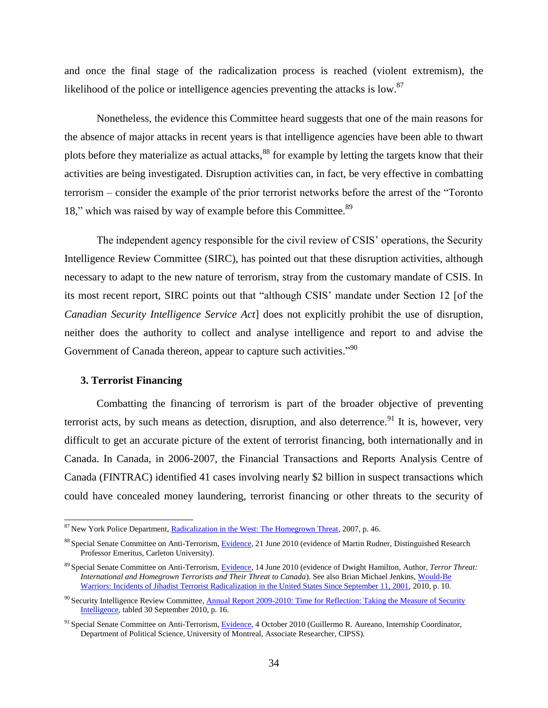and once the final stage of the radicalization process is reached (violent extremism), the likelihood of the police or intelligence agencies preventing the attacks is low.<sup>87</sup>

Nonetheless, the evidence this Committee heard suggests that one of the main reasons for the absence of major attacks in recent years is that intelligence agencies have been able to thwart plots before they materialize as actual attacks,<sup>88</sup> for example by letting the targets know that their activities are being investigated. Disruption activities can, in fact, be very effective in combatting terrorism – consider the example of the prior terrorist networks before the arrest of the "Toronto" 18," which was raised by way of example before this Committee.<sup>89</sup>

The independent agency responsible for the civil review of CSIS' operations, the Security Intelligence Review Committee (SIRC), has pointed out that these disruption activities, although necessary to adapt to the new nature of terrorism, stray from the customary mandate of CSIS. In its most recent report, SIRC points out that "although CSIS" mandate under Section 12 [of the *Canadian Security Intelligence Service Act*] does not explicitly prohibit the use of disruption, neither does the authority to collect and analyse intelligence and report to and advise the Government of Canada thereon, appear to capture such activities." $90$ 

#### <span id="page-36-0"></span>**3. Terrorist Financing**

 $\overline{a}$ 

Combatting the financing of terrorism is part of the broader objective of preventing terrorist acts, by such means as detection, disruption, and also deterrence.<sup>91</sup> It is, however, very difficult to get an accurate picture of the extent of terrorist financing, both internationally and in Canada. In Canada, in 2006-2007, the Financial Transactions and Reports Analysis Centre of Canada (FINTRAC) identified 41 cases involving nearly \$2 billion in suspect transactions which could have concealed money laundering, terrorist financing or other threats to the security of

<sup>&</sup>lt;sup>87</sup> New York Police Department, [Radicalization in the West: The Homegrown Threat,](http://www.nypdshield.org/public/SiteFiles/documents/NYPD_Report-Radicalization_in_the_West.pdf) 2007, p. 46.

<sup>88</sup> Special Senate Committee on Anti-Terrorism[, Evidence,](http://parl.gc.ca/40/3/parlbus/commbus/senate/com-e/anti-e/pdf/04issue.pdf) 21 June 2010 (evidence of Martin Rudner, Distinguished Research Professor Emeritus, Carleton University).

<sup>89</sup> Special Senate Committee on Anti-Terrorism[, Evidence,](http://parl.gc.ca/40/3/parlbus/commbus/senate/com-e/anti-e/pdf/03issue.pdf) 14 June 2010 (evidence of Dwight Hamilton, Author, *Terror Threat: International and Homegrown Terrorists and Their Threat to Canada*). See also Brian Michael Jenkins, [Would-Be](http://www.rand.org/content/dam/rand/pubs/occasional_papers/2010/RAND_OP292.pdf)  [Warriors: Incidents of Jihadist Terrorist Radicalization in the United States Since September 11, 2001,](http://www.rand.org/content/dam/rand/pubs/occasional_papers/2010/RAND_OP292.pdf) 2010, p. 10.

<sup>&</sup>lt;sup>90</sup> Security Intelligence Review Committee, Annual Report 2009-2010: Time for Reflection: Taking the Measure of Security [Intelligence,](http://www.sirc-csars.gc.ca/pdfs/ar_2009-2010-eng.pdf) tabled 30 September 2010, p. 16.

<sup>&</sup>lt;sup>91</sup> Special Senate Committee on Anti-Terrorism[, Evidence,](http://parl.gc.ca/40/3/parlbus/commbus/senate/com-e/anti-e/pdf/07issue.pdf) 4 October 2010 (Guillermo R. Aureano, Internship Coordinator, Department of Political Science, University of Montreal, Associate Researcher, CIPSS).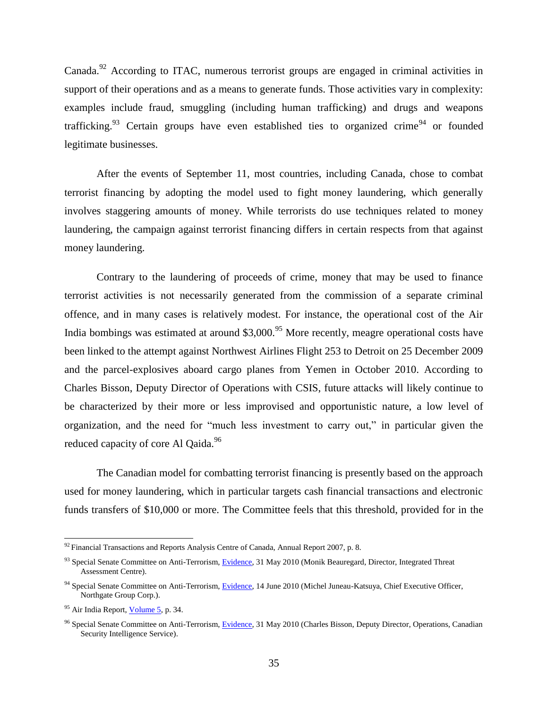Canada.<sup>92</sup> According to ITAC, numerous terrorist groups are engaged in criminal activities in support of their operations and as a means to generate funds. Those activities vary in complexity: examples include fraud, smuggling (including human trafficking) and drugs and weapons trafficking.<sup>93</sup> Certain groups have even established ties to organized crime<sup>94</sup> or founded legitimate businesses.

After the events of September 11, most countries, including Canada, chose to combat terrorist financing by adopting the model used to fight money laundering, which generally involves staggering amounts of money. While terrorists do use techniques related to money laundering, the campaign against terrorist financing differs in certain respects from that against money laundering.

Contrary to the laundering of proceeds of crime, money that may be used to finance terrorist activities is not necessarily generated from the commission of a separate criminal offence, and in many cases is relatively modest. For instance, the operational cost of the Air India bombings was estimated at around  $$3,000$ <sup>95</sup> More recently, meagre operational costs have been linked to the attempt against Northwest Airlines Flight 253 to Detroit on 25 December 2009 and the parcel-explosives aboard cargo planes from Yemen in October 2010. According to Charles Bisson, Deputy Director of Operations with CSIS, future attacks will likely continue to be characterized by their more or less improvised and opportunistic nature, a low level of organization, and the need for "much less investment to carry out," in particular given the reduced capacity of core Al Qaida.<sup>96</sup>

The Canadian model for combatting terrorist financing is presently based on the approach used for money laundering, which in particular targets cash financial transactions and electronic funds transfers of \$10,000 or more. The Committee feels that this threshold, provided for in the

 $92$  Financial Transactions and Reports Analysis Centre of Canada, Annual Report 2007, p. 8.

<sup>&</sup>lt;sup>93</sup> Special Senate Committee on Anti-Terrorism, [Evidence,](http://parl.gc.ca/40/3/parlbus/commbus/senate/com-e/anti-e/pdf/01issue.pdf) 31 May 2010 (Monik Beauregard, Director, Integrated Threat Assessment Centre).

<sup>&</sup>lt;sup>94</sup> Special Senate Committee on Anti-Terrorism, [Evidence,](http://parl.gc.ca/40/3/parlbus/commbus/senate/com-e/anti-e/pdf/03issue.pdf) 14 June 2010 (Michel Juneau-Katsuya, Chief Executive Officer, Northgate Group Corp.).

<sup>&</sup>lt;sup>95</sup> Air India Report[, Volume 5,](http://epe.lac-bac.gc.ca/100/206/301/pco-bcp/commissions/air_india/2010-07-23/www.majorcomm.ca/en/reports/finalreport/volume5/volume5.pdf) p. 34.

<sup>&</sup>lt;sup>96</sup> Special Senate Committee on Anti-Terrorism, [Evidence,](http://parl.gc.ca/40/3/parlbus/commbus/senate/com-e/anti-e/pdf/01issue.pdf) 31 May 2010 (Charles Bisson, Deputy Director, Operations, Canadian Security Intelligence Service).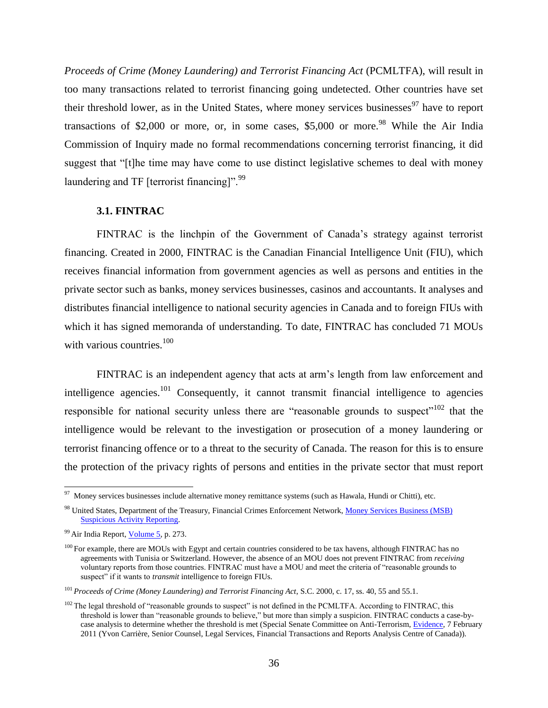*Proceeds of Crime (Money Laundering) and Terrorist Financing Act (PCMLTFA), will result in* too many transactions related to terrorist financing going undetected. Other countries have set their threshold lower, as in the United States, where money services businesses $^{97}$  have to report transactions of \$2,000 or more, or, in some cases,  $$5,000$  or more.<sup>98</sup> While the Air India Commission of Inquiry made no formal recommendations concerning terrorist financing, it did suggest that "[t]he time may have come to use distinct legislative schemes to deal with money laundering and TF [terrorist financing]". $^{99}$ 

### **3.1. FINTRAC**

<span id="page-38-0"></span>FINTRAC is the linchpin of the Government of Canada's strategy against terrorist financing. Created in 2000, FINTRAC is the Canadian Financial Intelligence Unit (FIU), which receives financial information from government agencies as well as persons and entities in the private sector such as banks, money services businesses, casinos and accountants. It analyses and distributes financial intelligence to national security agencies in Canada and to foreign FIUs with which it has signed memoranda of understanding. To date, FINTRAC has concluded 71 MOUs with various countries.<sup>100</sup>

FINTRAC is an independent agency that acts at arm's length from law enforcement and intelligence agencies.<sup>101</sup> Consequently, it cannot transmit financial intelligence to agencies responsible for national security unless there are "reasonable grounds to suspect"<sup>102</sup> that the intelligence would be relevant to the investigation or prosecution of a money laundering or terrorist financing offence or to a threat to the security of Canada. The reason for this is to ensure the protection of the privacy rights of persons and entities in the private sector that must report

<sup>&</sup>lt;sup>97</sup> Money services businesses include alternative money remittance systems (such as Hawala, Hundi or Chitti), etc.

<sup>98</sup> United States, Department of the Treasury, [Financial Crimes Enforcement Network, Money Services Business \(MSB\)](http://www.fincen.gov/financial_institutions/msb/msbsar.html)  [Suspicious Activity Reporting.](http://www.fincen.gov/financial_institutions/msb/msbsar.html)

<sup>99</sup> Air India Report[, Volume 5,](http://epe.lac-bac.gc.ca/100/206/301/pco-bcp/commissions/air_india/2010-07-23/www.majorcomm.ca/en/reports/finalreport/volume5/volume5.pdf) p. 273.

<sup>&</sup>lt;sup>100</sup> For example, there are MOUs with Egypt and certain countries considered to be tax havens, although FINTRAC has no agreements with Tunisia or Switzerland. However, the absence of an MOU does not prevent FINTRAC from *receiving* voluntary reports from those countries. FINTRAC must have a MOU and meet the criteria of "reasonable grounds to suspect<sup>"</sup> if it wants to *transmit* intelligence to foreign FIUs.

<sup>101</sup> *Proceeds of Crime (Money Laundering) and Terrorist Financing Act*, S.C. 2000, c. 17, ss. 40, 55 and 55.1.

 $102$  The legal threshold of "reasonable grounds to suspect" is not defined in the PCMLTFA. According to FINTRAC, this threshold is lower than "reasonable grounds to believe," but more than simply a suspicion. FINTRAC conducts a case-bycase analysis to determine whether the threshold is met (Special Senate Committee on Anti-Terrorism[, Evidence,](http://parl.gc.ca/40/3/parlbus/commbus/senate/Com-e/anti-e/pdf/12issue.pdf) 7 February 2011 (Yvon Carrière, Senior Counsel, Legal Services, Financial Transactions and Reports Analysis Centre of Canada)).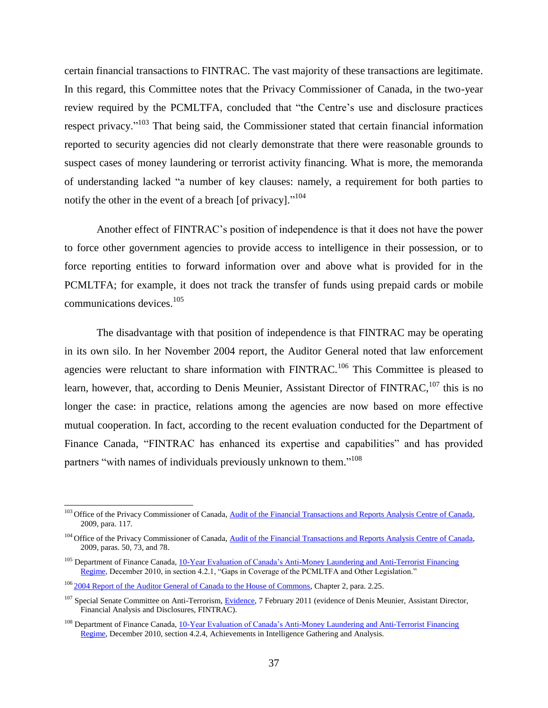certain financial transactions to FINTRAC. The vast majority of these transactions are legitimate. In this regard, this Committee notes that the Privacy Commissioner of Canada, in the two-year review required by the PCMLTFA, concluded that "the Centre's use and disclosure practices respect privacy."<sup>103</sup> That being said, the Commissioner stated that certain financial information reported to security agencies did not clearly demonstrate that there were reasonable grounds to suspect cases of money laundering or terrorist activity financing. What is more, the memoranda of understanding lacked "a number of key clauses: namely, a requirement for both parties to notify the other in the event of a breach [of privacy]. $^{104}$ 

Another effect of FINTRAC's position of independence is that it does not have the power to force other government agencies to provide access to intelligence in their possession, or to force reporting entities to forward information over and above what is provided for in the PCMLTFA; for example, it does not track the transfer of funds using prepaid cards or mobile communications devices.<sup>105</sup>

The disadvantage with that position of independence is that FINTRAC may be operating in its own silo. In her November 2004 report, the Auditor General noted that law enforcement agencies were reluctant to share information with  $FINTRAC$ <sup>106</sup>. This Committee is pleased to learn, however, that, according to Denis Meunier, Assistant Director of FINTRAC,  $^{107}$  this is no longer the case: in practice, relations among the agencies are now based on more effective mutual cooperation. In fact, according to the recent evaluation conducted for the Department of Finance Canada, "FINTRAC has enhanced its expertise and capabilities" and has provided partners "with names of individuals previously unknown to them."<sup>108</sup>

<sup>&</sup>lt;sup>103</sup> Office of the Privacy Commissioner of Canada, Audit of the Financial Transactions and Reports Analysis Centre of Canada, 2009, para. 117.

<sup>&</sup>lt;sup>104</sup> Office of the Privacy Commissioner of Canada, Audit of the Financial Transactions and Reports Analysis Centre of Canada, 2009, paras. 50, 73, and 78.

<sup>&</sup>lt;sup>105</sup> Department of Finance Canada, 10-Year Evaluation of Canada's Anti-Money Laundering and Anti-Terrorist Financing [Regime,](http://www.fin.gc.ca/treas/evaluations/amlatfr-rclcrpcfat-eng.asp) December 2010, in section 4.2.1, "Gaps in Coverage of the PCMLTFA and Other Legislation."

<sup>&</sup>lt;sup>106</sup> [2004 Report of the Auditor General of Canada to the House of Commons,](http://www.oag-bvg.gc.ca/internet/docs/20041102ce.pdf) Chapter 2, para. 2.25.

<sup>&</sup>lt;sup>107</sup> Special Senate Committee on Anti-Terrorism, [Evidence,](http://parl.gc.ca/40/3/parlbus/commbus/senate/Com-e/anti-e/pdf/12issue.pdf) 7 February 2011 (evidence of Denis Meunier, Assistant Director, Financial Analysis and Disclosures, FINTRAC).

<sup>&</sup>lt;sup>108</sup> Department of Finance Canada, 10-Year Evaluation of Canada's Anti-Money Laundering and Anti-Terrorist Financing [Regime,](http://www.fin.gc.ca/treas/evaluations/amlatfr-rclcrpcfat-eng.asp) December 2010, section 4.2.4, Achievements in Intelligence Gathering and Analysis.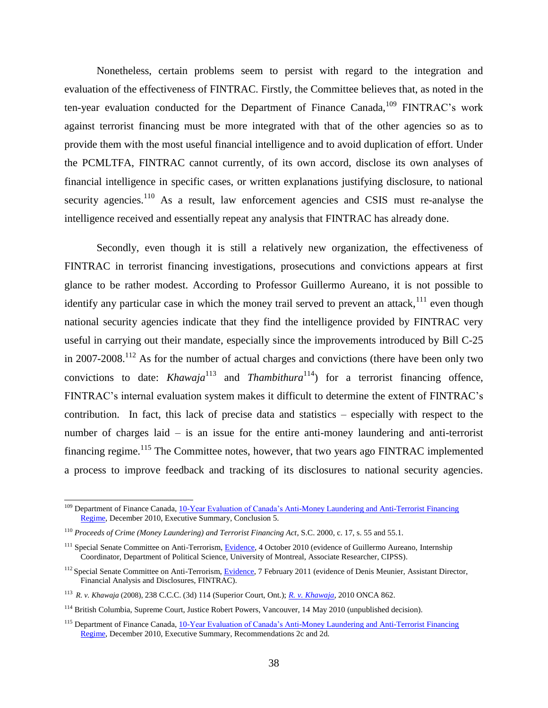Nonetheless, certain problems seem to persist with regard to the integration and evaluation of the effectiveness of FINTRAC. Firstly, the Committee believes that, as noted in the ten-year evaluation conducted for the Department of Finance Canada,<sup>109</sup> FINTRAC's work against terrorist financing must be more integrated with that of the other agencies so as to provide them with the most useful financial intelligence and to avoid duplication of effort. Under the PCMLTFA, FINTRAC cannot currently, of its own accord, disclose its own analyses of financial intelligence in specific cases, or written explanations justifying disclosure, to national security agencies.<sup>110</sup> As a result, law enforcement agencies and CSIS must re-analyse the intelligence received and essentially repeat any analysis that FINTRAC has already done.

Secondly, even though it is still a relatively new organization, the effectiveness of FINTRAC in terrorist financing investigations, prosecutions and convictions appears at first glance to be rather modest. According to Professor Guillermo Aureano, it is not possible to identify any particular case in which the money trail served to prevent an attack,  $111$  even though national security agencies indicate that they find the intelligence provided by FINTRAC very useful in carrying out their mandate, especially since the improvements introduced by Bill C-25 in  $2007-2008$ .<sup>112</sup> As for the number of actual charges and convictions (there have been only two convictions to date: *Khawaja*<sup>113</sup> and *Thambithura*<sup>114</sup>) for a terrorist financing offence, FINTRAC's internal evaluation system makes it difficult to determine the extent of FINTRAC's contribution. In fact, this lack of precise data and statistics – especially with respect to the number of charges laid – is an issue for the entire anti-money laundering and anti-terrorist financing regime.<sup>115</sup> The Committee notes, however, that two years ago FINTRAC implemented a process to improve feedback and tracking of its disclosures to national security agencies.

<sup>&</sup>lt;sup>109</sup> Department of Finance Canada, 10-Year Evaluation of Canada's Anti-Money Laundering and Anti-Terrorist Financing [Regime,](http://www.fin.gc.ca/treas/evaluations/amlatfr-rclcrpcfat-eng.asp) December 2010, Executive Summary, Conclusion 5.

<sup>110</sup> *Proceeds of Crime (Money Laundering) and Terrorist Financing Act*, S.C. 2000, c. 17, s. 55 and 55.1.

<sup>&</sup>lt;sup>111</sup> Special Senate Committee on Anti-Terrorism, [Evidence,](http://parl.gc.ca/40/3/parlbus/commbus/senate/Com-e/anti-e/pdf/07issue.pdf) 4 October 2010 (evidence of Guillermo Aureano, Internship Coordinator, Department of Political Science, University of Montreal, Associate Researcher, CIPSS).

<sup>&</sup>lt;sup>112</sup> Special Senate Committee on Anti-Terrorism[, Evidence,](http://parl.gc.ca/40/3/parlbus/commbus/senate/Com-e/anti-e/pdf/12issue.pdf) 7 February 2011 (evidence of Denis Meunier, Assistant Director, Financial Analysis and Disclosures, FINTRAC).

<sup>113</sup> *R. v. Khawaja* (2008), 238 C.C.C. (3d) 114 (Superior Court, Ont.); *[R. v. Khawaja](http://www.ontariocourts.on.ca/decisions/2010/december/2010ONCA0862.pdf)*, 2010 ONCA 862.

<sup>&</sup>lt;sup>114</sup> British Columbia, Supreme Court, Justice Robert Powers, Vancouver, 14 May 2010 (unpublished decision).

<sup>&</sup>lt;sup>115</sup> Department of Finance Canada, 10-Year Evaluation of Canada's Anti-Money Laundering and Anti-Terrorist Financing [Regime,](http://www.fin.gc.ca/treas/evaluations/amlatfr-rclcrpcfat-eng.asp) December 2010, Executive Summary, Recommendations 2c and 2d.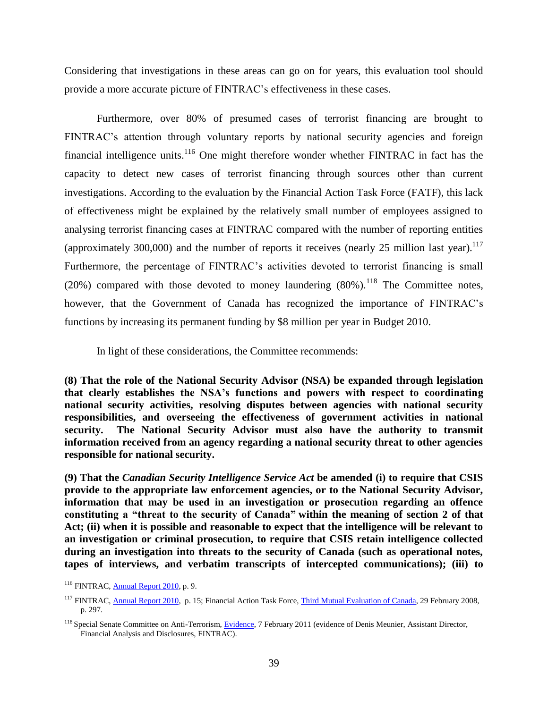Considering that investigations in these areas can go on for years, this evaluation tool should provide a more accurate picture of FINTRAC's effectiveness in these cases.

Furthermore, over 80% of presumed cases of terrorist financing are brought to FINTRAC's attention through voluntary reports by national security agencies and foreign financial intelligence units. $116$  One might therefore wonder whether FINTRAC in fact has the capacity to detect new cases of terrorist financing through sources other than current investigations. According to the evaluation by the Financial Action Task Force (FATF), this lack of effectiveness might be explained by the relatively small number of employees assigned to analysing terrorist financing cases at FINTRAC compared with the number of reporting entities (approximately 300,000) and the number of reports it receives (nearly 25 million last year).<sup>117</sup> Furthermore, the percentage of FINTRAC's activities devoted to terrorist financing is small (20%) compared with those devoted to money laundering  $(80\%)$ .<sup>118</sup> The Committee notes, however, that the Government of Canada has recognized the importance of FINTRAC's functions by increasing its permanent funding by \$8 million per year in Budget 2010.

In light of these considerations, the Committee recommends:

**(8) That the role of the National Security Advisor (NSA) be expanded through legislation that clearly establishes the NSA's functions and powers with respect to coordinating national security activities, resolving disputes between agencies with national security responsibilities, and overseeing the effectiveness of government activities in national security. The National Security Advisor must also have the authority to transmit information received from an agency regarding a national security threat to other agencies responsible for national security.** 

**(9) That the** *Canadian Security Intelligence Service Act* **be amended (i) to require that CSIS provide to the appropriate law enforcement agencies, or to the National Security Advisor, information that may be used in an investigation or prosecution regarding an offence constituting a "threat to the security of Canada" within the meaning of section 2 of that Act; (ii) when it is possible and reasonable to expect that the intelligence will be relevant to an investigation or criminal prosecution, to require that CSIS retain intelligence collected during an investigation into threats to the security of Canada (such as operational notes, tapes of interviews, and verbatim transcripts of intercepted communications); (iii) to** 

<sup>&</sup>lt;sup>116</sup> FINTRAC, **Annual Report 2010**, p. 9.

<sup>&</sup>lt;sup>117</sup> FINTRAC, **Annual Report 2010**, p. 15; Financial Action Task Force, *Third Mutual Evaluation of Canada*, 29 February 2008, p. 297.

<sup>&</sup>lt;sup>118</sup> Special Senate Committee on Anti-Terrorism[, Evidence,](http://parl.gc.ca/40/3/parlbus/commbus/senate/Com-e/anti-e/pdf/12issue.pdf) 7 February 2011 (evidence of Denis Meunier, Assistant Director, Financial Analysis and Disclosures, FINTRAC).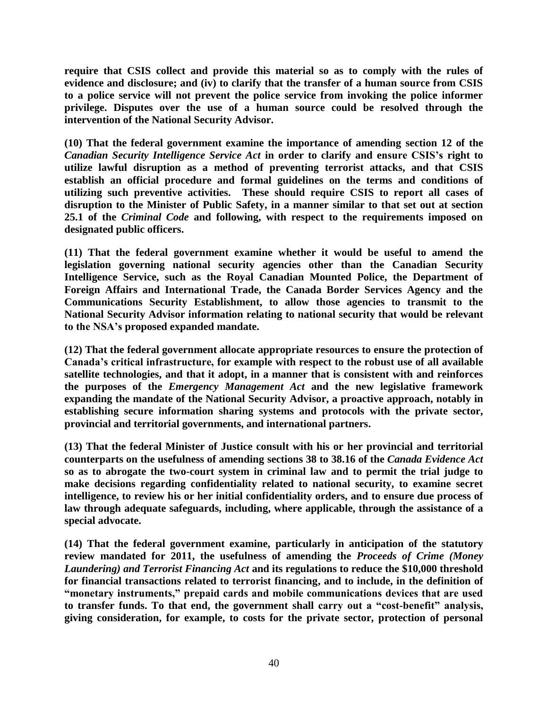**require that CSIS collect and provide this material so as to comply with the rules of evidence and disclosure; and (iv) to clarify that the transfer of a human source from CSIS to a police service will not prevent the police service from invoking the police informer privilege. Disputes over the use of a human source could be resolved through the intervention of the National Security Advisor.** 

**(10) That the federal government examine the importance of amending section 12 of the**  *Canadian Security Intelligence Service Act* **in order to clarify and ensure CSIS's right to utilize lawful disruption as a method of preventing terrorist attacks, and that CSIS establish an official procedure and formal guidelines on the terms and conditions of utilizing such preventive activities. These should require CSIS to report all cases of disruption to the Minister of Public Safety, in a manner similar to that set out at section 25.1 of the** *Criminal Code* **and following, with respect to the requirements imposed on designated public officers.**

**(11) That the federal government examine whether it would be useful to amend the legislation governing national security agencies other than the Canadian Security Intelligence Service, such as the Royal Canadian Mounted Police, the Department of Foreign Affairs and International Trade, the Canada Border Services Agency and the Communications Security Establishment, to allow those agencies to transmit to the National Security Advisor information relating to national security that would be relevant to the NSA's proposed expanded mandate.**

**(12) That the federal government allocate appropriate resources to ensure the protection of Canada's critical infrastructure, for example with respect to the robust use of all available satellite technologies, and that it adopt, in a manner that is consistent with and reinforces the purposes of the** *Emergency Management Act* **and the new legislative framework expanding the mandate of the National Security Advisor, a proactive approach, notably in establishing secure information sharing systems and protocols with the private sector, provincial and territorial governments, and international partners.**

**(13) That the federal Minister of Justice consult with his or her provincial and territorial counterparts on the usefulness of amending sections 38 to 38.16 of the** *Canada Evidence Act*  **so as to abrogate the two-court system in criminal law and to permit the trial judge to make decisions regarding confidentiality related to national security, to examine secret intelligence, to review his or her initial confidentiality orders, and to ensure due process of law through adequate safeguards, including, where applicable, through the assistance of a special advocate.** 

**(14) That the federal government examine, particularly in anticipation of the statutory review mandated for 2011, the usefulness of amending the** *Proceeds of Crime (Money Laundering) and Terrorist Financing Act* **and its regulations to reduce the \$10,000 threshold for financial transactions related to terrorist financing, and to include, in the definition of "monetary instruments," prepaid cards and mobile communications devices that are used to transfer funds. To that end, the government shall carry out a "cost-benefit" analysis, giving consideration, for example, to costs for the private sector, protection of personal**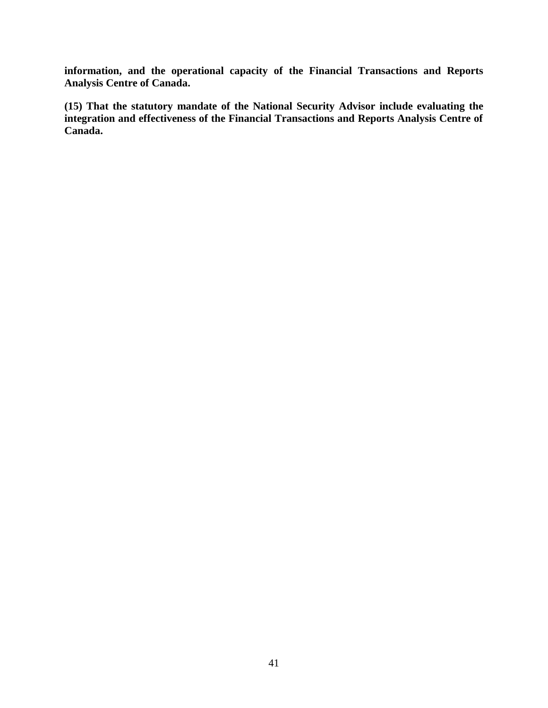**information, and the operational capacity of the Financial Transactions and Reports Analysis Centre of Canada.** 

<span id="page-43-0"></span>**(15) That the statutory mandate of the National Security Advisor include evaluating the integration and effectiveness of the Financial Transactions and Reports Analysis Centre of Canada.**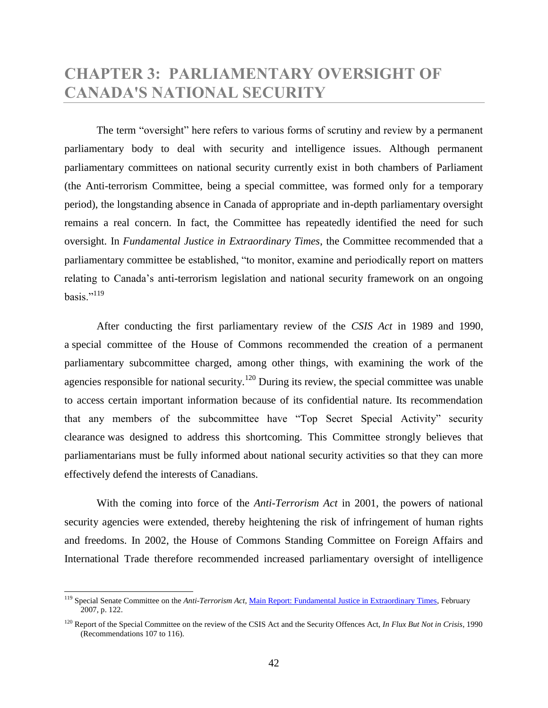## **CHAPTER 3: PARLIAMENTARY OVERSIGHT OF CANADA'S NATIONAL SECURITY**

The term "oversight" here refers to various forms of scrutiny and review by a permanent parliamentary body to deal with security and intelligence issues. Although permanent parliamentary committees on national security currently exist in both chambers of Parliament (the Anti-terrorism Committee, being a special committee, was formed only for a temporary period), the longstanding absence in Canada of appropriate and in-depth parliamentary oversight remains a real concern. In fact, the Committee has repeatedly identified the need for such oversight. In *Fundamental Justice in Extraordinary Times*, the Committee recommended that a parliamentary committee be established, "to monitor, examine and periodically report on matters relating to Canada's anti-terrorism legislation and national security framework on an ongoing basis."<sup>119</sup>

After conducting the first parliamentary review of the *CSIS Act* in 1989 and 1990, a special committee of the House of Commons recommended the creation of a permanent parliamentary subcommittee charged, among other things, with examining the work of the agencies responsible for national security.<sup>120</sup> During its review, the special committee was unable to access certain important information because of its confidential nature. Its recommendation that any members of the subcommittee have "Top Secret Special Activity" security clearance was designed to address this shortcoming. This Committee strongly believes that parliamentarians must be fully informed about national security activities so that they can more effectively defend the interests of Canadians.

With the coming into force of the *Anti-Terrorism Act* in 2001, the powers of national security agencies were extended, thereby heightening the risk of infringement of human rights and freedoms. In 2002, the House of Commons Standing Committee on Foreign Affairs and International Trade therefore recommended increased parliamentary oversight of intelligence

<sup>119</sup> Special Senate Committee on the *Anti-Terrorism Act*[, Main Report: Fundamental Justice in Extraordinary Times,](http://parl.gc.ca/39/1/parlbus/commbus/senate/com-e/anti-e/rep-e/rep02feb07-e.htm) February 2007, p. 122.

<sup>&</sup>lt;sup>120</sup> Report of the Special Committee on the review of the CSIS Act and the Security Offences Act, *In Flux But Not in Crisis*, 1990 (Recommendations 107 to 116).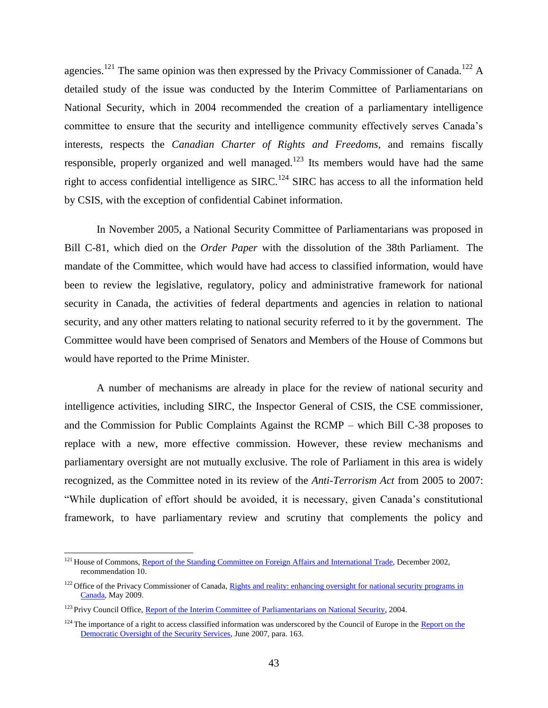agencies.<sup>121</sup> The same opinion was then expressed by the Privacy Commissioner of Canada.<sup>122</sup> A detailed study of the issue was conducted by the Interim Committee of Parliamentarians on National Security, which in 2004 recommended the creation of a parliamentary intelligence committee to ensure that the security and intelligence community effectively serves Canada's interests, respects the *Canadian Charter of Rights and Freedoms,* and remains fiscally responsible, properly organized and well managed.<sup>123</sup> Its members would have had the same right to access confidential intelligence as SIRC.<sup>124</sup> SIRC has access to all the information held by CSIS, with the exception of confidential Cabinet information.

In November 2005, a National Security Committee of Parliamentarians was proposed in Bill C-81, which died on the *Order Paper* with the dissolution of the 38th Parliament. The mandate of the Committee, which would have had access to classified information, would have been to review the legislative, regulatory, policy and administrative framework for national security in Canada, the activities of federal departments and agencies in relation to national security, and any other matters relating to national security referred to it by the government. The Committee would have been comprised of Senators and Members of the House of Commons but would have reported to the Prime Minister.

A number of mechanisms are already in place for the review of national security and intelligence activities, including SIRC, the Inspector General of CSIS, the CSE commissioner, and the Commission for Public Complaints Against the RCMP – which Bill C-38 proposes to replace with a new, more effective commission. However, these review mechanisms and parliamentary oversight are not mutually exclusive. The role of Parliament in this area is widely recognized, as the Committee noted in its review of the *Anti-Terrorism Act* from 2005 to 2007: ―While duplication of effort should be avoided, it is necessary, given Canada's constitutional framework, to have parliamentary review and scrutiny that complements the policy and

<sup>&</sup>lt;sup>121</sup> House of Commons, [Report of the Standing Committee on Foreign](http://www2.parl.gc.ca/content/hoc/Committee/372/FAIT/Reports/RP1032319/faitrp03/faitrp03-e.pdf) Affairs and International Trade, December 2002, recommendation 10.

<sup>&</sup>lt;sup>122</sup> Office of the Privacy Commissioner of Canada, Rights and reality: enhancing oversight for national security programs in [Canada,](http://www.priv.gc.ca/parl/2009/parl_sub_090507_e.cfm) May 2009.

<sup>&</sup>lt;sup>123</sup> Privy Council Office[, Report of the Interim Committee of Parliamentarians on National Security,](http://www.pco-bcp.gc.ca/index.asp?lang=eng&page=information&sub=publications&doc=cpns-cpsn/04-eng.htm) 2004.

 $124$  The importance of a right to access classified information was underscored by the Council of Europe in the Report on the [Democratic Oversight of the Security Services,](http://www.venice.coe.int/docs/2007/CDL-AD(2007)016-e.pdf) June 2007, para. 163.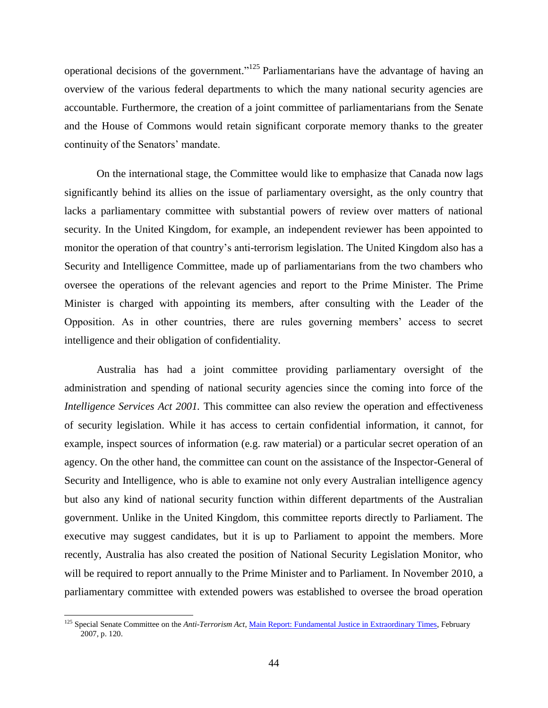operational decisions of the government."<sup>125</sup> Parliamentarians have the advantage of having an overview of the various federal departments to which the many national security agencies are accountable. Furthermore, the creation of a joint committee of parliamentarians from the Senate and the House of Commons would retain significant corporate memory thanks to the greater continuity of the Senators' mandate.

On the international stage, the Committee would like to emphasize that Canada now lags significantly behind its allies on the issue of parliamentary oversight, as the only country that lacks a parliamentary committee with substantial powers of review over matters of national security. In the United Kingdom, for example, an independent reviewer has been appointed to monitor the operation of that country's anti-terrorism legislation. The United Kingdom also has a Security and Intelligence Committee, made up of parliamentarians from the two chambers who oversee the operations of the relevant agencies and report to the Prime Minister. The Prime Minister is charged with appointing its members, after consulting with the Leader of the Opposition. As in other countries, there are rules governing members' access to secret intelligence and their obligation of confidentiality.

Australia has had a joint committee providing parliamentary oversight of the administration and spending of national security agencies since the coming into force of the *Intelligence Services Act 2001*. This committee can also review the operation and effectiveness of security legislation. While it has access to certain confidential information, it cannot, for example, inspect sources of information (e.g. raw material) or a particular secret operation of an agency. On the other hand, the committee can count on the assistance of the Inspector-General of Security and Intelligence, who is able to examine not only every Australian intelligence agency but also any kind of national security function within different departments of the Australian government. Unlike in the United Kingdom, this committee reports directly to Parliament. The executive may suggest candidates, but it is up to Parliament to appoint the members. More recently, Australia has also created the position of National Security Legislation Monitor, who will be required to report annually to the Prime Minister and to Parliament. In November 2010, a parliamentary committee with extended powers was established to oversee the broad operation

<sup>125</sup> Special Senate Committee on the *Anti-Terrorism Act*[, Main Report: Fundamental Justice in Extraordinary Times,](http://parl.gc.ca/39/1/parlbus/commbus/senate/com-e/anti-e/rep-e/rep02feb07-e.htm) February 2007, p. 120.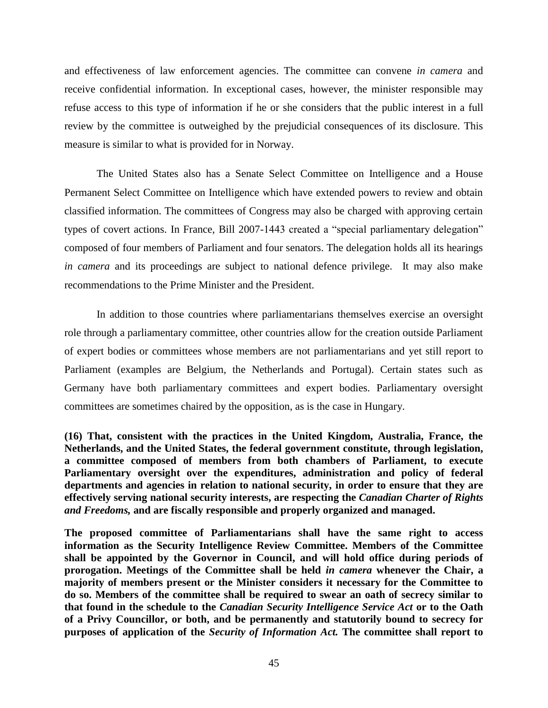and effectiveness of law enforcement agencies. The committee can convene *in camera* and receive confidential information. In exceptional cases, however, the minister responsible may refuse access to this type of information if he or she considers that the public interest in a full review by the committee is outweighed by the prejudicial consequences of its disclosure. This measure is similar to what is provided for in Norway.

The United States also has a Senate Select Committee on Intelligence and a House Permanent Select Committee on Intelligence which have extended powers to review and obtain classified information. The committees of Congress may also be charged with approving certain types of covert actions. In France, Bill 2007-1443 created a "special parliamentary delegation" composed of four members of Parliament and four senators. The delegation holds all its hearings *in camera* and its proceedings are subject to national defence privilege. It may also make recommendations to the Prime Minister and the President.

In addition to those countries where parliamentarians themselves exercise an oversight role through a parliamentary committee, other countries allow for the creation outside Parliament of expert bodies or committees whose members are not parliamentarians and yet still report to Parliament (examples are Belgium, the Netherlands and Portugal). Certain states such as Germany have both parliamentary committees and expert bodies. Parliamentary oversight committees are sometimes chaired by the opposition, as is the case in Hungary.

**(16) That, consistent with the practices in the United Kingdom, Australia, France, the Netherlands, and the United States, the federal government constitute, through legislation, a committee composed of members from both chambers of Parliament, to execute Parliamentary oversight over the expenditures, administration and policy of federal departments and agencies in relation to national security, in order to ensure that they are effectively serving national security interests, are respecting the** *Canadian Charter of Rights and Freedoms,* **and are fiscally responsible and properly organized and managed.** 

**The proposed committee of Parliamentarians shall have the same right to access information as the Security Intelligence Review Committee. Members of the Committee shall be appointed by the Governor in Council, and will hold office during periods of prorogation. Meetings of the Committee shall be held** *in camera* **whenever the Chair, a majority of members present or the Minister considers it necessary for the Committee to do so. Members of the committee shall be required to swear an oath of secrecy similar to that found in the schedule to the** *Canadian Security Intelligence Service Act* **or to the Oath of a Privy Councillor, or both, and be permanently and statutorily bound to secrecy for purposes of application of the** *Security of Information Act.* **The committee shall report to**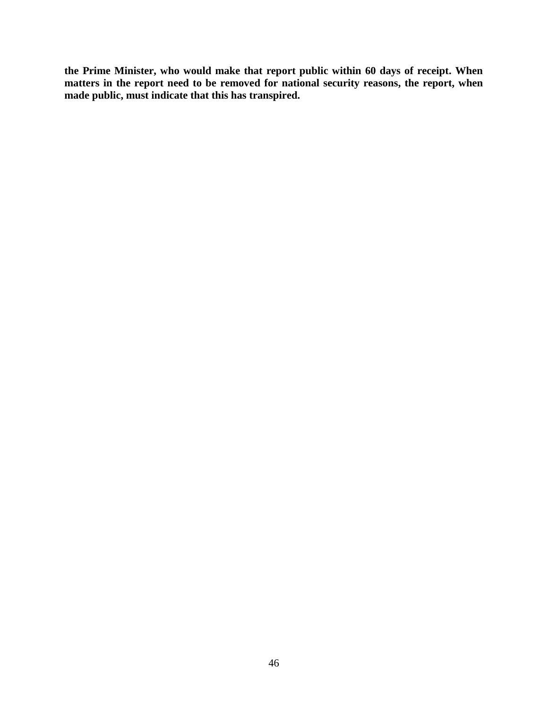**the Prime Minister, who would make that report public within 60 days of receipt. When matters in the report need to be removed for national security reasons, the report, when made public, must indicate that this has transpired.**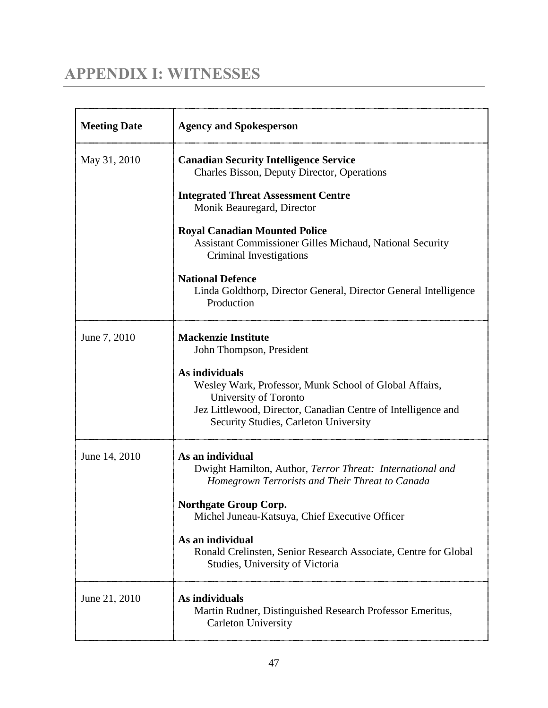# <span id="page-49-0"></span>**APPENDIX I: WITNESSES**

| <b>Meeting Date</b> | <b>Agency and Spokesperson</b>                                                                                                                                                                              |
|---------------------|-------------------------------------------------------------------------------------------------------------------------------------------------------------------------------------------------------------|
| May 31, 2010        | <b>Canadian Security Intelligence Service</b><br>Charles Bisson, Deputy Director, Operations                                                                                                                |
|                     | <b>Integrated Threat Assessment Centre</b><br>Monik Beauregard, Director                                                                                                                                    |
|                     | <b>Royal Canadian Mounted Police</b><br>Assistant Commissioner Gilles Michaud, National Security<br>Criminal Investigations                                                                                 |
|                     | <b>National Defence</b><br>Linda Goldthorp, Director General, Director General Intelligence<br>Production                                                                                                   |
| June 7, 2010        | <b>Mackenzie Institute</b><br>John Thompson, President                                                                                                                                                      |
|                     | As individuals<br>Wesley Wark, Professor, Munk School of Global Affairs,<br>University of Toronto<br>Jez Littlewood, Director, Canadian Centre of Intelligence and<br>Security Studies, Carleton University |
| June 14, 2010       | As an individual<br>Dwight Hamilton, Author, Terror Threat: International and<br>Homegrown Terrorists and Their Threat to Canada                                                                            |
|                     | <b>Northgate Group Corp.</b><br>Michel Juneau-Katsuya, Chief Executive Officer                                                                                                                              |
|                     | As an individual<br>Ronald Crelinsten, Senior Research Associate, Centre for Global<br>Studies, University of Victoria                                                                                      |
| June 21, 2010       | As individuals<br>Martin Rudner, Distinguished Research Professor Emeritus,<br><b>Carleton University</b>                                                                                                   |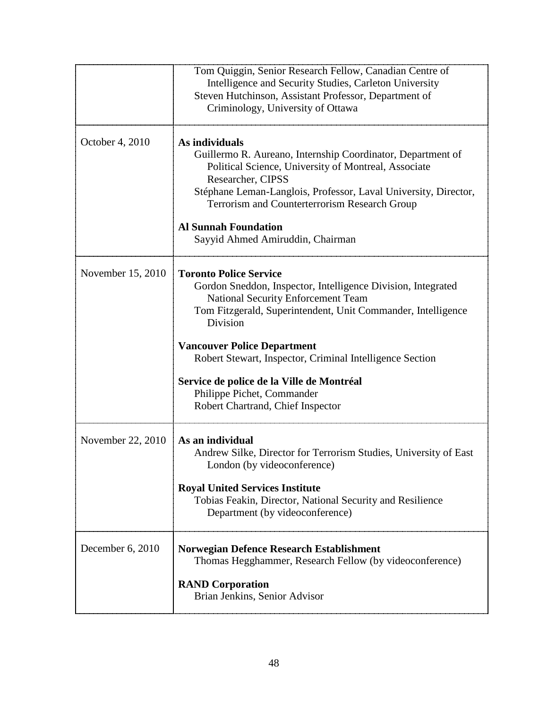|                   | Tom Quiggin, Senior Research Fellow, Canadian Centre of<br>Intelligence and Security Studies, Carleton University<br>Steven Hutchinson, Assistant Professor, Department of<br>Criminology, University of Ottawa                                                                                                                                                                                                                          |
|-------------------|------------------------------------------------------------------------------------------------------------------------------------------------------------------------------------------------------------------------------------------------------------------------------------------------------------------------------------------------------------------------------------------------------------------------------------------|
| October 4, 2010   | As individuals<br>Guillermo R. Aureano, Internship Coordinator, Department of<br>Political Science, University of Montreal, Associate<br>Researcher, CIPSS<br>Stéphane Leman-Langlois, Professor, Laval University, Director,<br>Terrorism and Counterterrorism Research Group<br><b>Al Sunnah Foundation</b><br>Sayyid Ahmed Amiruddin, Chairman                                                                                        |
| November 15, 2010 | <b>Toronto Police Service</b><br>Gordon Sneddon, Inspector, Intelligence Division, Integrated<br><b>National Security Enforcement Team</b><br>Tom Fitzgerald, Superintendent, Unit Commander, Intelligence<br>Division<br><b>Vancouver Police Department</b><br>Robert Stewart, Inspector, Criminal Intelligence Section<br>Service de police de la Ville de Montréal<br>Philippe Pichet, Commander<br>Robert Chartrand, Chief Inspector |
| November 22, 2010 | As an individual<br>Andrew Silke, Director for Terrorism Studies, University of East<br>London (by videoconference)<br><b>Royal United Services Institute</b><br>Tobias Feakin, Director, National Security and Resilience<br>Department (by videoconference)                                                                                                                                                                            |
| December 6, 2010  | <b>Norwegian Defence Research Establishment</b><br>Thomas Hegghammer, Research Fellow (by videoconference)<br><b>RAND Corporation</b><br>Brian Jenkins, Senior Advisor                                                                                                                                                                                                                                                                   |